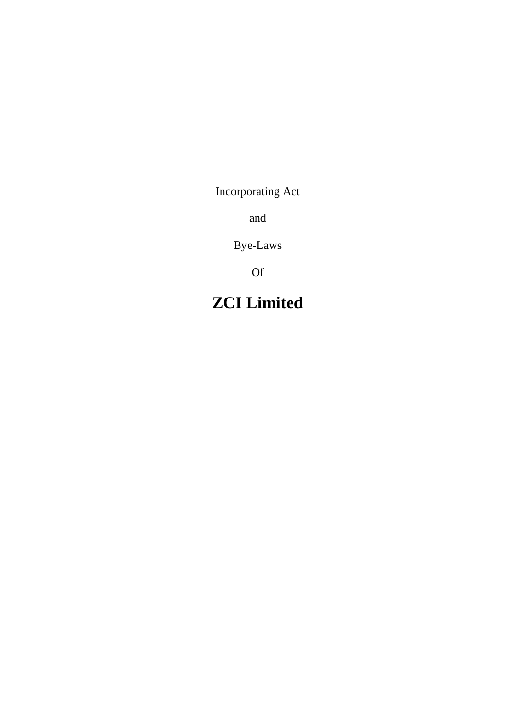Incorporating Act

and

Bye-Laws

Of

# **ZCI Limited**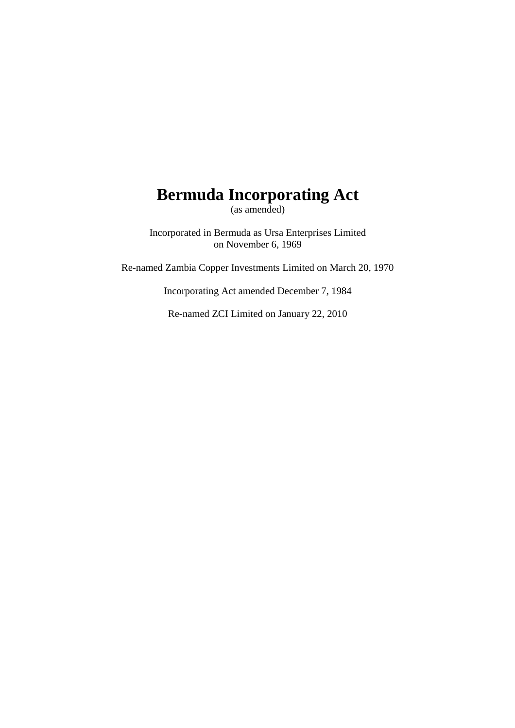# **Bermuda Incorporating Act**

(as amended)

Incorporated in Bermuda as Ursa Enterprises Limited on November 6, 1969

Re-named Zambia Copper Investments Limited on March 20, 1970

Incorporating Act amended December 7, 1984

Re-named ZCI Limited on January 22, 2010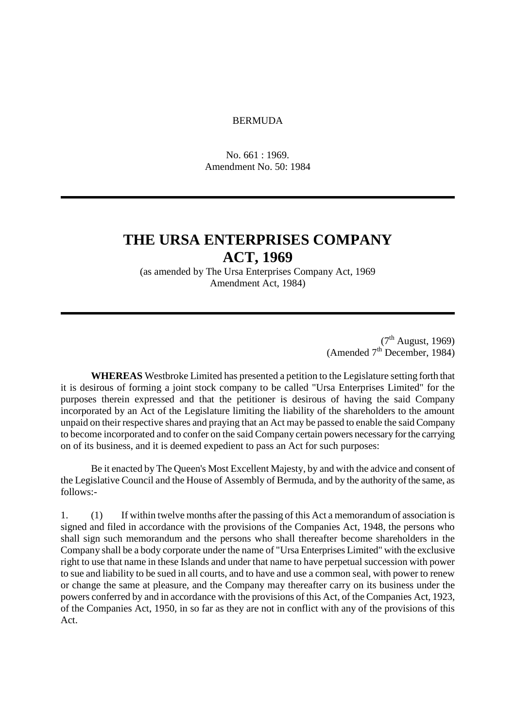#### BERMUDA

No. 661 : 1969. Amendment No. 50: 1984

### **THE URSA ENTERPRISES COMPANY ACT, 1969**

(as amended by The Ursa Enterprises Company Act, 1969 Amendment Act, 1984)

> $(7<sup>th</sup>$  August, 1969) (Amended  $7<sup>th</sup>$  December, 1984)

**WHEREAS** Westbroke Limited has presented a petition to the Legislature setting forth that it is desirous of forming a joint stock company to be called "Ursa Enterprises Limited" for the purposes therein expressed and that the petitioner is desirous of having the said Company incorporated by an Act of the Legislature limiting the liability of the shareholders to the amount unpaid on their respective shares and praying that an Act may be passed to enable the said Company to become incorporated and to confer on the said Company certain powers necessary for the carrying on of its business, and it is deemed expedient to pass an Act for such purposes:

Be it enacted by The Queen's Most Excellent Majesty, by and with the advice and consent of the Legislative Council and the House of Assembly of Bermuda, and by the authority of the same, as follows:-

1. (1) If within twelve months after the passing of this Act a memorandum of association is signed and filed in accordance with the provisions of the Companies Act, 1948, the persons who shall sign such memorandum and the persons who shall thereafter become shareholders in the Company shall be a body corporate under the name of "Ursa Enterprises Limited" with the exclusive right to use that name in these Islands and under that name to have perpetual succession with power to sue and liability to be sued in all courts, and to have and use a common seal, with power to renew or change the same at pleasure, and the Company may thereafter carry on its business under the powers conferred by and in accordance with the provisions of this Act, of the Companies Act, 1923, of the Companies Act, 1950, in so far as they are not in conflict with any of the provisions of this Act.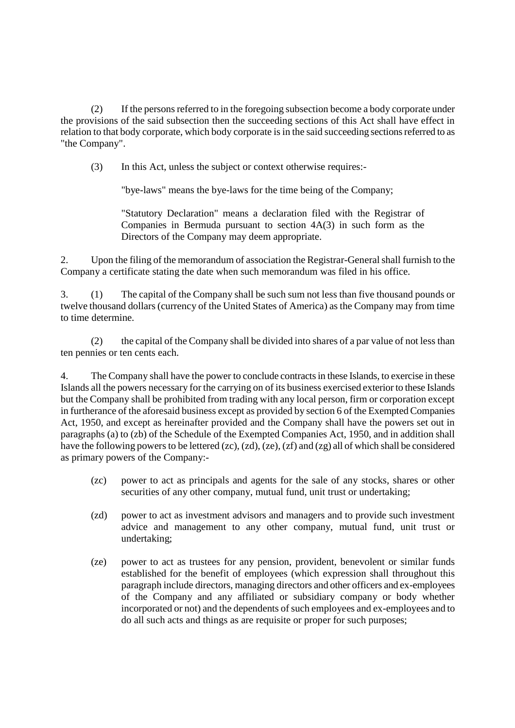(2) If the persons referred to in the foregoing subsection become a body corporate under the provisions of the said subsection then the succeeding sections of this Act shall have effect in relation to that body corporate, which body corporate is in the said succeeding sections referred to as "the Company".

(3) In this Act, unless the subject or context otherwise requires:-

"bye-laws" means the bye-laws for the time being of the Company;

"Statutory Declaration" means a declaration filed with the Registrar of Companies in Bermuda pursuant to section 4A(3) in such form as the Directors of the Company may deem appropriate.

2. Upon the filing of the memorandum of association the Registrar-General shall furnish to the Company a certificate stating the date when such memorandum was filed in his office.

3. (1) The capital of the Company shall be such sum not less than five thousand pounds or twelve thousand dollars (currency of the United States of America) as the Company may from time to time determine.

(2) the capital of the Company shall be divided into shares of a par value of not less than ten pennies or ten cents each.

4. The Company shall have the power to conclude contracts in these Islands, to exercise in these Islands all the powers necessary for the carrying on of its business exercised exterior to these Islands but the Company shall be prohibited from trading with any local person, firm or corporation except in furtherance of the aforesaid business except as provided by section 6 of the Exempted Companies Act, 1950, and except as hereinafter provided and the Company shall have the powers set out in paragraphs (a) to (zb) of the Schedule of the Exempted Companies Act, 1950, and in addition shall have the following powers to be lettered (zc), (zd), (ze), (zf) and (zg) all of which shall be considered as primary powers of the Company:-

- (zc) power to act as principals and agents for the sale of any stocks, shares or other securities of any other company, mutual fund, unit trust or undertaking;
- (zd) power to act as investment advisors and managers and to provide such investment advice and management to any other company, mutual fund, unit trust or undertaking;
- (ze) power to act as trustees for any pension, provident, benevolent or similar funds established for the benefit of employees (which expression shall throughout this paragraph include directors, managing directors and other officers and ex-employees of the Company and any affiliated or subsidiary company or body whether incorporated or not) and the dependents of such employees and ex-employees and to do all such acts and things as are requisite or proper for such purposes;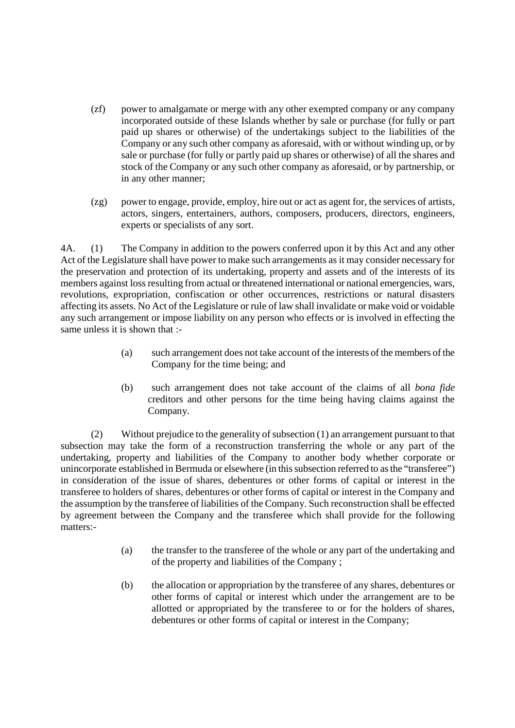- (zf) power to amalgamate or merge with any other exempted company or any company incorporated outside of these Islands whether by sale or purchase (for fully or part paid up shares or otherwise) of the undertakings subject to the liabilities of the Company or any such other company as aforesaid, with or without winding up, or by sale or purchase (for fully or partly paid up shares or otherwise) of all the shares and stock of the Company or any such other company as aforesaid, or by partnership, or in any other manner;
- (zg) power to engage, provide, employ, hire out or act as agent for, the services of artists, actors, singers, entertainers, authors, composers, producers, directors, engineers, experts or specialists of any sort.

4A. (1) The Company in addition to the powers conferred upon it by this Act and any other Act of the Legislature shall have power to make such arrangements as it may consider necessary for the preservation and protection of its undertaking, property and assets and of the interests of its members against loss resulting from actual or threatened international or national emergencies, wars, revolutions, expropriation, confiscation or other occurrences, restrictions or natural disasters affecting its assets. No Act of the Legislature or rule of law shall invalidate or make void or voidable any such arrangement or impose liability on any person who effects or is involved in effecting the same unless it is shown that :-

- (a) such arrangement does not take account of the interests of the members of the Company for the time being; and
- (b) such arrangement does not take account of the claims of all *bona fide* creditors and other persons for the time being having claims against the Company.

(2) Without prejudice to the generality of subsection (1) an arrangement pursuant to that subsection may take the form of a reconstruction transferring the whole or any part of the undertaking, property and liabilities of the Company to another body whether corporate or unincorporate established in Bermuda or elsewhere (in this subsection referred to as the "transferee") in consideration of the issue of shares, debentures or other forms of capital or interest in the transferee to holders of shares, debentures or other forms of capital or interest in the Company and the assumption by the transferee of liabilities of the Company. Such reconstruction shall be effected by agreement between the Company and the transferee which shall provide for the following matters:-

- (a) the transfer to the transferee of the whole or any part of the undertaking and of the property and liabilities of the Company ;
- (b) the allocation or appropriation by the transferee of any shares, debentures or other forms of capital or interest which under the arrangement are to be allotted or appropriated by the transferee to or for the holders of shares, debentures or other forms of capital or interest in the Company;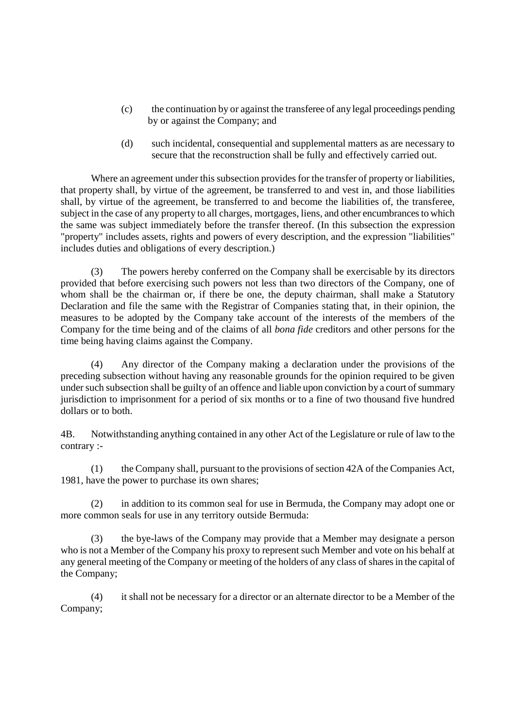- (c) the continuation by or against the transferee of any legal proceedings pending by or against the Company; and
- (d) such incidental, consequential and supplemental matters as are necessary to secure that the reconstruction shall be fully and effectively carried out.

Where an agreement under this subsection provides for the transfer of property or liabilities, that property shall, by virtue of the agreement, be transferred to and vest in, and those liabilities shall, by virtue of the agreement, be transferred to and become the liabilities of, the transferee, subject in the case of any property to all charges, mortgages, liens, and other encumbrances to which the same was subject immediately before the transfer thereof. (In this subsection the expression "property" includes assets, rights and powers of every description, and the expression "liabilities" includes duties and obligations of every description.)

(3) The powers hereby conferred on the Company shall be exercisable by its directors provided that before exercising such powers not less than two directors of the Company, one of whom shall be the chairman or, if there be one, the deputy chairman, shall make a Statutory Declaration and file the same with the Registrar of Companies stating that, in their opinion, the measures to be adopted by the Company take account of the interests of the members of the Company for the time being and of the claims of all *bona fide* creditors and other persons for the time being having claims against the Company.

(4) Any director of the Company making a declaration under the provisions of the preceding subsection without having any reasonable grounds for the opinion required to be given under such subsection shall be guilty of an offence and liable upon conviction by a court of summary jurisdiction to imprisonment for a period of six months or to a fine of two thousand five hundred dollars or to both.

4B. Notwithstanding anything contained in any other Act of the Legislature or rule of law to the contrary :-

(1) the Company shall, pursuant to the provisions of section 42A of the Companies Act, 1981, have the power to purchase its own shares;

(2) in addition to its common seal for use in Bermuda, the Company may adopt one or more common seals for use in any territory outside Bermuda:

(3) the bye-laws of the Company may provide that a Member may designate a person who is not a Member of the Company his proxy to represent such Member and vote on his behalf at any general meeting of the Company or meeting of the holders of any class of shares in the capital of the Company;

(4) it shall not be necessary for a director or an alternate director to be a Member of the Company;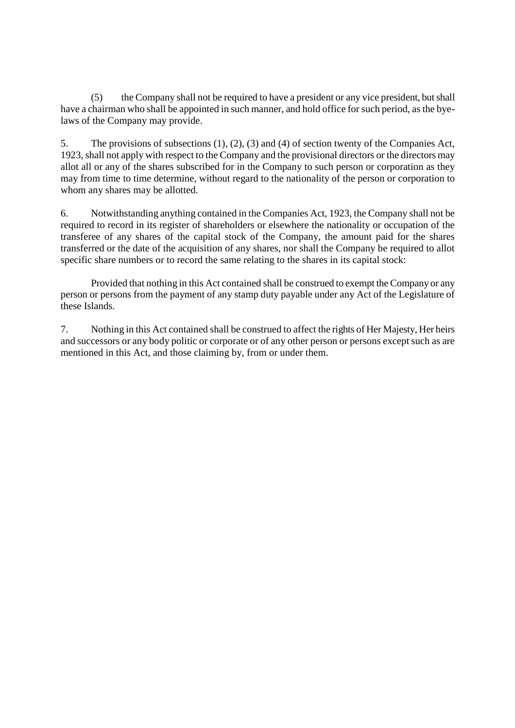(5) the Company shall not be required to have a president or any vice president, but shall have a chairman who shall be appointed in such manner, and hold office for such period, as the byelaws of the Company may provide.

5. The provisions of subsections (1), (2), (3) and (4) of section twenty of the Companies Act, 1923, shall not apply with respect to the Company and the provisional directors or the directors may allot all or any of the shares subscribed for in the Company to such person or corporation as they may from time to time determine, without regard to the nationality of the person or corporation to whom any shares may be allotted.

6. Notwithstanding anything contained in the Companies Act, 1923, the Company shall not be required to record in its register of shareholders or elsewhere the nationality or occupation of the transferee of any shares of the capital stock of the Company, the amount paid for the shares transferred or the date of the acquisition of any shares, nor shall the Company be required to allot specific share numbers or to record the same relating to the shares in its capital stock:

Provided that nothing in this Act contained shall be construed to exempt the Company or any person or persons from the payment of any stamp duty payable under any Act of the Legislature of these Islands.

7. Nothing in this Act contained shall be construed to affect the rights of Her Majesty, Her heirs and successors or any body politic or corporate or of any other person or persons except such as are mentioned in this Act, and those claiming by, from or under them.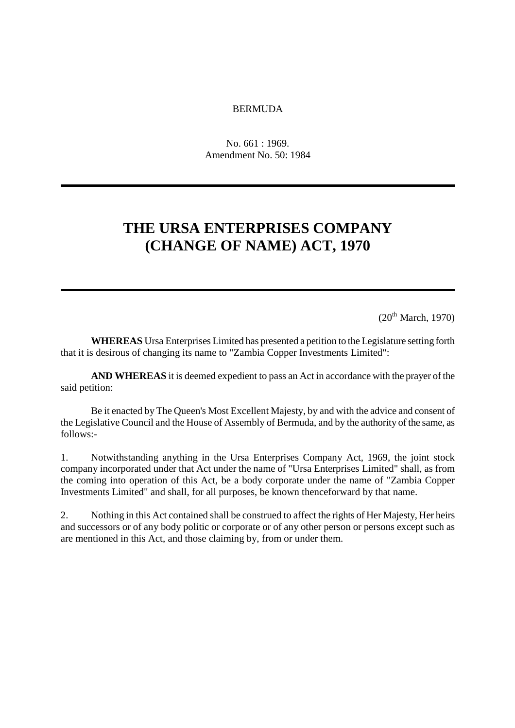#### BERMUDA

No. 661 : 1969. Amendment No. 50: 1984

# **THE URSA ENTERPRISES COMPANY (CHANGE OF NAME) ACT, 1970**

 $(20^{th}$  March, 1970)

**WHEREAS** Ursa Enterprises Limited has presented a petition to the Legislature setting forth that it is desirous of changing its name to "Zambia Copper Investments Limited":

**AND WHEREAS** it is deemed expedient to pass an Act in accordance with the prayer of the said petition:

Be it enacted by The Queen's Most Excellent Majesty, by and with the advice and consent of the Legislative Council and the House of Assembly of Bermuda, and by the authority of the same, as follows:-

1. Notwithstanding anything in the Ursa Enterprises Company Act, 1969, the joint stock company incorporated under that Act under the name of "Ursa Enterprises Limited" shall, as from the coming into operation of this Act, be a body corporate under the name of "Zambia Copper Investments Limited" and shall, for all purposes, be known thenceforward by that name.

2. Nothing in this Act contained shall be construed to affect the rights of Her Majesty, Her heirs and successors or of any body politic or corporate or of any other person or persons except such as are mentioned in this Act, and those claiming by, from or under them.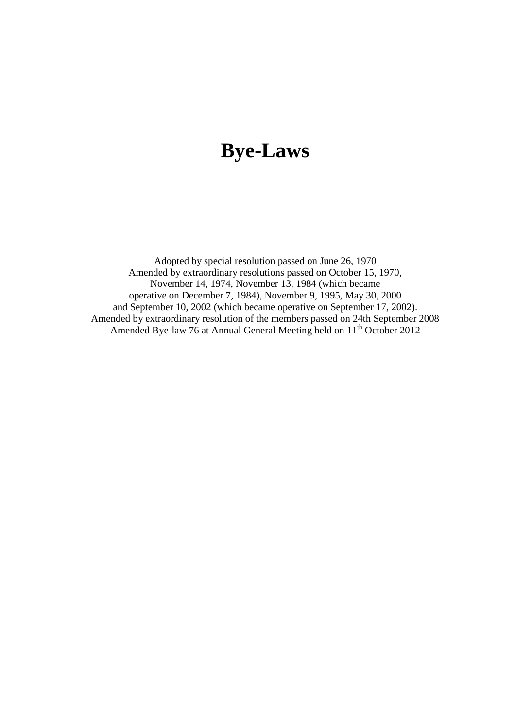# **Bye-Laws**

Adopted by special resolution passed on June 26, 1970 Amended by extraordinary resolutions passed on October 15, 1970, November 14, 1974, November 13, 1984 (which became operative on December 7, 1984), November 9, 1995, May 30, 2000 and September 10, 2002 (which became operative on September 17, 2002). Amended by extraordinary resolution of the members passed on 24th September 2008 Amended Bye-law 76 at Annual General Meeting held on 11<sup>th</sup> October 2012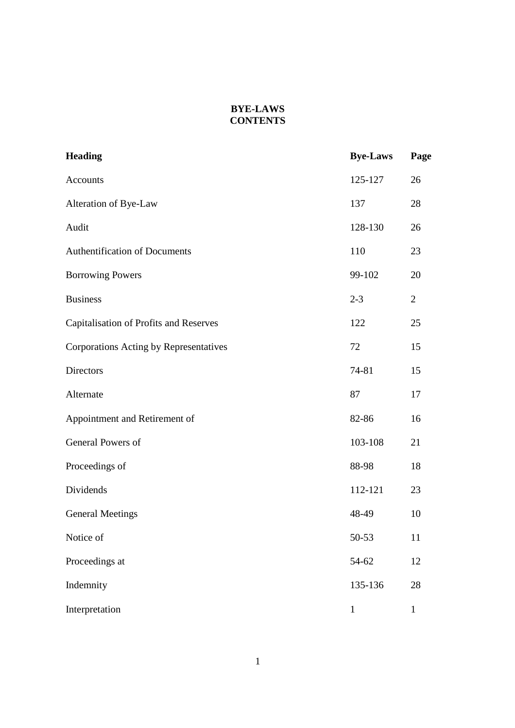#### **BYE-LAWS CONTENTS**

| <b>Heading</b>                         | <b>Bye-Laws</b> | Page           |
|----------------------------------------|-----------------|----------------|
| Accounts                               | 125-127         | 26             |
| Alteration of Bye-Law                  | 137             | 28             |
| Audit                                  | 128-130         | 26             |
| <b>Authentification of Documents</b>   | 110             | 23             |
| <b>Borrowing Powers</b>                | 99-102          | 20             |
| <b>Business</b>                        | $2 - 3$         | $\overline{2}$ |
| Capitalisation of Profits and Reserves | 122             | 25             |
| Corporations Acting by Representatives | 72              | 15             |
| Directors                              | 74-81           | 15             |
| Alternate                              | 87              | 17             |
| Appointment and Retirement of          | 82-86           | 16             |
| General Powers of                      | 103-108         | 21             |
| Proceedings of                         | 88-98           | 18             |
| Dividends                              | 112-121         | 23             |
| <b>General Meetings</b>                | 48-49           | 10             |
| Notice of                              | 50-53           | 11             |
| Proceedings at                         | 54-62           | 12             |
| Indemnity                              | 135-136         | 28             |
| Interpretation                         | $\mathbf{1}$    | $\mathbf{1}$   |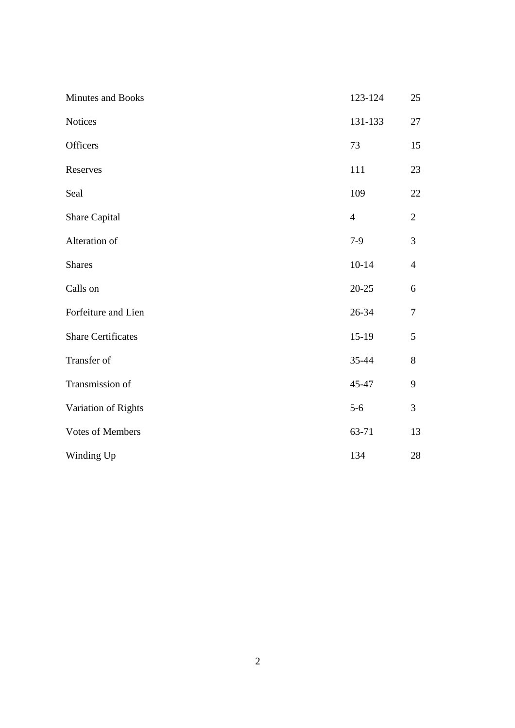| Minutes and Books         | 123-124        | 25             |
|---------------------------|----------------|----------------|
| <b>Notices</b>            | 131-133        | 27             |
| Officers                  | 73             | 15             |
| Reserves                  | 111            | 23             |
| Seal                      | 109            | 22             |
| Share Capital             | $\overline{4}$ | $\overline{2}$ |
| Alteration of             | $7-9$          | $\mathfrak{Z}$ |
| <b>Shares</b>             | $10 - 14$      | $\overline{4}$ |
| Calls on                  | $20 - 25$      | 6              |
| Forfeiture and Lien       | 26-34          | $\tau$         |
| <b>Share Certificates</b> | $15-19$        | 5              |
| Transfer of               | 35-44          | 8              |
| Transmission of           | 45-47          | 9              |
| Variation of Rights       | $5 - 6$        | $\mathfrak{Z}$ |
| <b>Votes of Members</b>   | 63-71          | 13             |
| Winding Up                | 134            | 28             |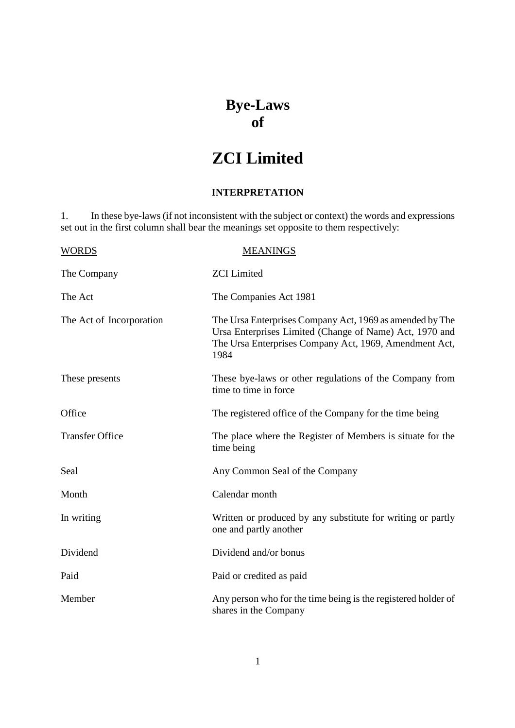### **Bye-Laws of**

# **ZCI Limited**

#### **INTERPRETATION**

1. In these bye-laws (if not inconsistent with the subject or context) the words and expressions set out in the first column shall bear the meanings set opposite to them respectively:

| <b>WORDS</b>             | <b>MEANINGS</b>                                                                                                                                                                       |
|--------------------------|---------------------------------------------------------------------------------------------------------------------------------------------------------------------------------------|
| The Company              | <b>ZCI</b> Limited                                                                                                                                                                    |
| The Act                  | The Companies Act 1981                                                                                                                                                                |
| The Act of Incorporation | The Ursa Enterprises Company Act, 1969 as amended by The<br>Ursa Enterprises Limited (Change of Name) Act, 1970 and<br>The Ursa Enterprises Company Act, 1969, Amendment Act,<br>1984 |
| These presents           | These bye-laws or other regulations of the Company from<br>time to time in force                                                                                                      |
| Office                   | The registered office of the Company for the time being                                                                                                                               |
| <b>Transfer Office</b>   | The place where the Register of Members is situate for the<br>time being                                                                                                              |
| Seal                     | Any Common Seal of the Company                                                                                                                                                        |
| Month                    | Calendar month                                                                                                                                                                        |
| In writing               | Written or produced by any substitute for writing or partly<br>one and partly another                                                                                                 |
| Dividend                 | Dividend and/or bonus                                                                                                                                                                 |
| Paid                     | Paid or credited as paid                                                                                                                                                              |
| Member                   | Any person who for the time being is the registered holder of<br>shares in the Company                                                                                                |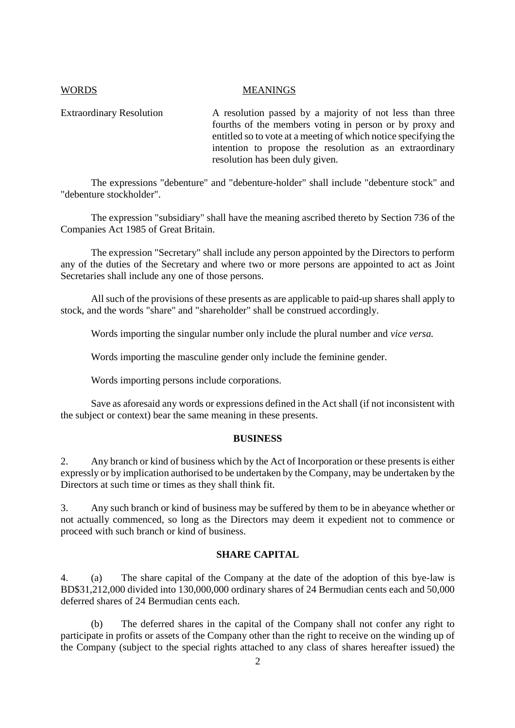#### WORDS MEANINGS

Extraordinary Resolution A resolution passed by a majority of not less than three fourths of the members voting in person or by proxy and entitled so to vote at a meeting of which notice specifying the intention to propose the resolution as an extraordinary resolution has been duly given.

The expressions "debenture" and "debenture-holder" shall include "debenture stock" and "debenture stockholder".

The expression "subsidiary" shall have the meaning ascribed thereto by Section 736 of the Companies Act 1985 of Great Britain.

The expression "Secretary" shall include any person appointed by the Directors to perform any of the duties of the Secretary and where two or more persons are appointed to act as Joint Secretaries shall include any one of those persons.

All such of the provisions of these presents as are applicable to paid-up shares shall apply to stock, and the words "share" and "shareholder" shall be construed accordingly.

Words importing the singular number only include the plural number and *vice versa.*

Words importing the masculine gender only include the feminine gender.

Words importing persons include corporations.

Save as aforesaid any words or expressions defined in the Act shall (if not inconsistent with the subject or context) bear the same meaning in these presents.

#### **BUSINESS**

2. Any branch or kind of business which by the Act of Incorporation or these presents is either expressly or by implication authorised to be undertaken by the Company, may be undertaken by the Directors at such time or times as they shall think fit.

3. Any such branch or kind of business may be suffered by them to be in abeyance whether or not actually commenced, so long as the Directors may deem it expedient not to commence or proceed with such branch or kind of business.

#### **SHARE CAPITAL**

4. (a) The share capital of the Company at the date of the adoption of this bye-law is BD\$31,212,000 divided into 130,000,000 ordinary shares of 24 Bermudian cents each and 50,000 deferred shares of 24 Bermudian cents each.

(b) The deferred shares in the capital of the Company shall not confer any right to participate in profits or assets of the Company other than the right to receive on the winding up of the Company (subject to the special rights attached to any class of shares hereafter issued) the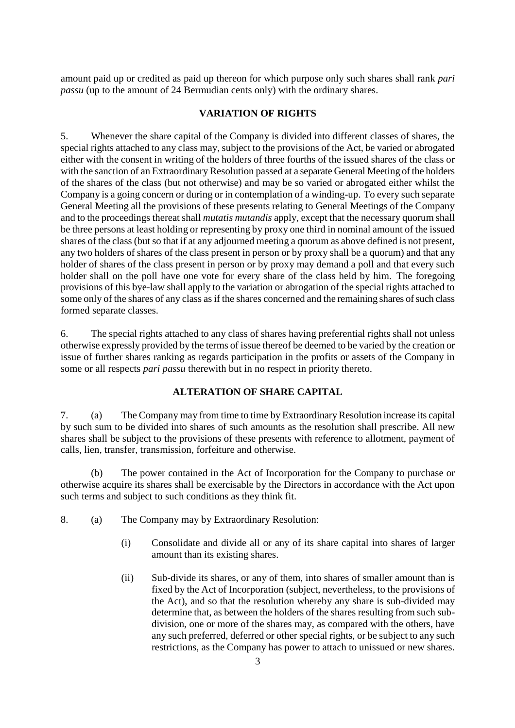amount paid up or credited as paid up thereon for which purpose only such shares shall rank *pari passu* (up to the amount of 24 Bermudian cents only) with the ordinary shares.

#### **VARIATION OF RIGHTS**

5. Whenever the share capital of the Company is divided into different classes of shares, the special rights attached to any class may, subject to the provisions of the Act, be varied or abrogated either with the consent in writing of the holders of three fourths of the issued shares of the class or with the sanction of an Extraordinary Resolution passed at a separate General Meeting of the holders of the shares of the class (but not otherwise) and may be so varied or abrogated either whilst the Company is a going concern or during or in contemplation of a winding-up. To every such separate General Meeting all the provisions of these presents relating to General Meetings of the Company and to the proceedings thereat shall *mutatis mutandis* apply, except that the necessary quorum shall be three persons at least holding or representing by proxy one third in nominal amount of the issued shares of the class (but so that if at any adjourned meeting a quorum as above defined is not present, any two holders of shares of the class present in person or by proxy shall be a quorum) and that any holder of shares of the class present in person or by proxy may demand a poll and that every such holder shall on the poll have one vote for every share of the class held by him. The foregoing provisions of this bye-law shall apply to the variation or abrogation of the special rights attached to some only of the shares of any class as if the shares concerned and the remaining shares of such class formed separate classes.

6. The special rights attached to any class of shares having preferential rights shall not unless otherwise expressly provided by the terms of issue thereof be deemed to be varied by the creation or issue of further shares ranking as regards participation in the profits or assets of the Company in some or all respects *pari passu* therewith but in no respect in priority thereto.

#### **ALTERATION OF SHARE CAPITAL**

7. (a) The Company may from time to time by Extraordinary Resolution increase its capital by such sum to be divided into shares of such amounts as the resolution shall prescribe. All new shares shall be subject to the provisions of these presents with reference to allotment, payment of calls, lien, transfer, transmission, forfeiture and otherwise.

(b) The power contained in the Act of Incorporation for the Company to purchase or otherwise acquire its shares shall be exercisable by the Directors in accordance with the Act upon such terms and subject to such conditions as they think fit.

- 8. (a) The Company may by Extraordinary Resolution:
	- (i) Consolidate and divide all or any of its share capital into shares of larger amount than its existing shares.
	- (ii) Sub-divide its shares, or any of them, into shares of smaller amount than is fixed by the Act of Incorporation (subject, nevertheless, to the provisions of the Act), and so that the resolution whereby any share is sub-divided may determine that, as between the holders of the shares resulting from such subdivision, one or more of the shares may, as compared with the others, have any such preferred, deferred or other special rights, or be subject to any such restrictions, as the Company has power to attach to unissued or new shares.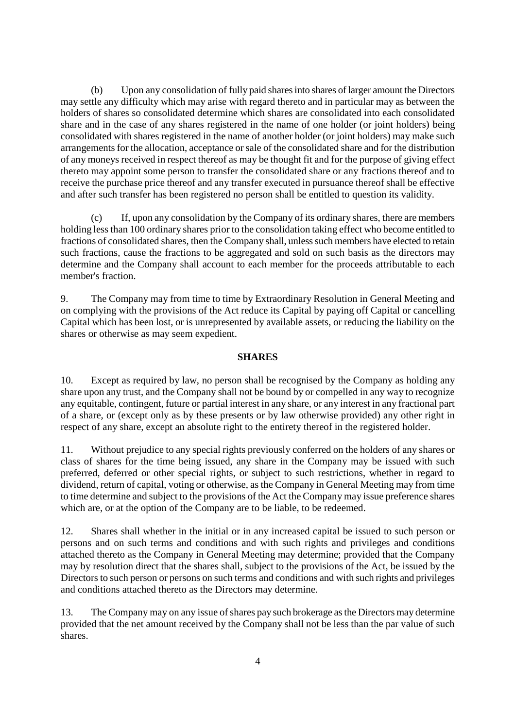(b) Upon any consolidation of fully paid shares into shares of larger amount the Directors may settle any difficulty which may arise with regard thereto and in particular may as between the holders of shares so consolidated determine which shares are consolidated into each consolidated share and in the case of any shares registered in the name of one holder (or joint holders) being consolidated with shares registered in the name of another holder (or joint holders) may make such arrangements for the allocation, acceptance or sale of the consolidated share and for the distribution of any moneys received in respect thereof as may be thought fit and for the purpose of giving effect thereto may appoint some person to transfer the consolidated share or any fractions thereof and to receive the purchase price thereof and any transfer executed in pursuance thereof shall be effective and after such transfer has been registered no person shall be entitled to question its validity.

(c) If, upon any consolidation by the Company of its ordinary shares, there are members holding less than 100 ordinary shares prior to the consolidation taking effect who become entitled to fractions of consolidated shares, then the Company shall, unless such members have elected to retain such fractions, cause the fractions to be aggregated and sold on such basis as the directors may determine and the Company shall account to each member for the proceeds attributable to each member's fraction.

9. The Company may from time to time by Extraordinary Resolution in General Meeting and on complying with the provisions of the Act reduce its Capital by paying off Capital or cancelling Capital which has been lost, or is unrepresented by available assets, or reducing the liability on the shares or otherwise as may seem expedient.

#### **SHARES**

10. Except as required by law, no person shall be recognised by the Company as holding any share upon any trust, and the Company shall not be bound by or compelled in any way to recognize any equitable, contingent, future or partial interest in any share, or any interest in any fractional part of a share, or (except only as by these presents or by law otherwise provided) any other right in respect of any share, except an absolute right to the entirety thereof in the registered holder.

11. Without prejudice to any special rights previously conferred on the holders of any shares or class of shares for the time being issued, any share in the Company may be issued with such preferred, deferred or other special rights, or subject to such restrictions, whether in regard to dividend, return of capital, voting or otherwise, as the Company in General Meeting may from time to time determine and subject to the provisions of the Act the Company may issue preference shares which are, or at the option of the Company are to be liable, to be redeemed.

12. Shares shall whether in the initial or in any increased capital be issued to such person or persons and on such terms and conditions and with such rights and privileges and conditions attached thereto as the Company in General Meeting may determine; provided that the Company may by resolution direct that the shares shall, subject to the provisions of the Act, be issued by the Directors to such person or persons on such terms and conditions and with such rights and privileges and conditions attached thereto as the Directors may determine.

13. The Company may on any issue of shares pay such brokerage as the Directors may determine provided that the net amount received by the Company shall not be less than the par value of such shares.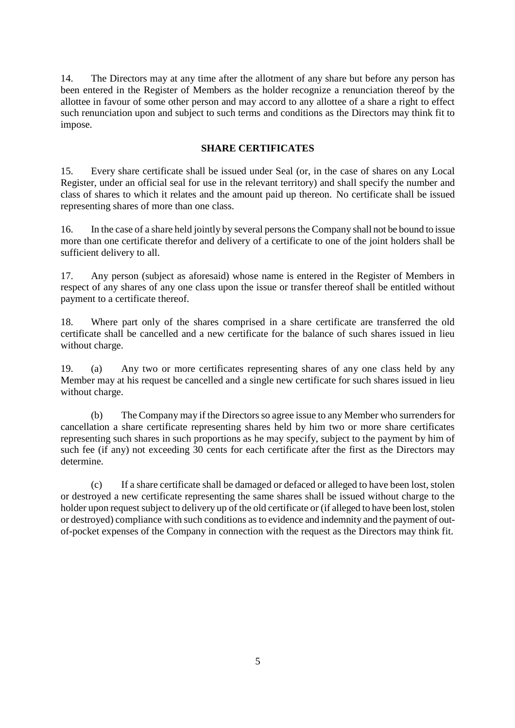14. The Directors may at any time after the allotment of any share but before any person has been entered in the Register of Members as the holder recognize a renunciation thereof by the allottee in favour of some other person and may accord to any allottee of a share a right to effect such renunciation upon and subject to such terms and conditions as the Directors may think fit to impose.

#### **SHARE CERTIFICATES**

15. Every share certificate shall be issued under Seal (or, in the case of shares on any Local Register, under an official seal for use in the relevant territory) and shall specify the number and class of shares to which it relates and the amount paid up thereon. No certificate shall be issued representing shares of more than one class.

16. In the case of a share held jointly by several persons the Company shall not be bound to issue more than one certificate therefor and delivery of a certificate to one of the joint holders shall be sufficient delivery to all.

17. Any person (subject as aforesaid) whose name is entered in the Register of Members in respect of any shares of any one class upon the issue or transfer thereof shall be entitled without payment to a certificate thereof.

18. Where part only of the shares comprised in a share certificate are transferred the old certificate shall be cancelled and a new certificate for the balance of such shares issued in lieu without charge.

19. (a) Any two or more certificates representing shares of any one class held by any Member may at his request be cancelled and a single new certificate for such shares issued in lieu without charge.

(b) The Company may if the Directors so agree issue to any Member who surrenders for cancellation a share certificate representing shares held by him two or more share certificates representing such shares in such proportions as he may specify, subject to the payment by him of such fee (if any) not exceeding 30 cents for each certificate after the first as the Directors may determine.

(c) If a share certificate shall be damaged or defaced or alleged to have been lost, stolen or destroyed a new certificate representing the same shares shall be issued without charge to the holder upon request subject to delivery up of the old certificate or (if alleged to have been lost, stolen or destroyed) compliance with such conditions as to evidence and indemnity and the payment of outof-pocket expenses of the Company in connection with the request as the Directors may think fit.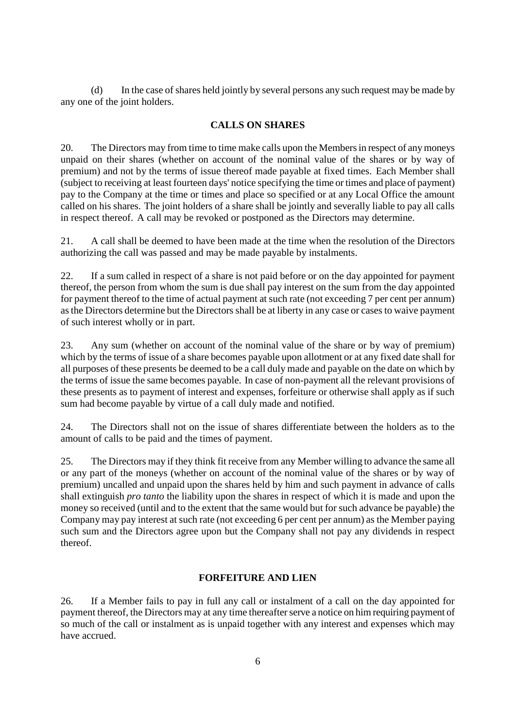(d) In the case of shares held jointly by several persons any such request may be made by any one of the joint holders.

#### **CALLS ON SHARES**

20. The Directors may from time to time make calls upon the Members in respect of any moneys unpaid on their shares (whether on account of the nominal value of the shares or by way of premium) and not by the terms of issue thereof made payable at fixed times. Each Member shall (subject to receiving at least fourteen days' notice specifying the time or times and place of payment) pay to the Company at the time or times and place so specified or at any Local Office the amount called on his shares. The joint holders of a share shall be jointly and severally liable to pay all calls in respect thereof. A call may be revoked or postponed as the Directors may determine.

21. A call shall be deemed to have been made at the time when the resolution of the Directors authorizing the call was passed and may be made payable by instalments.

22. If a sum called in respect of a share is not paid before or on the day appointed for payment thereof, the person from whom the sum is due shall pay interest on the sum from the day appointed for payment thereof to the time of actual payment at such rate (not exceeding 7 per cent per annum) as the Directors determine but the Directors shall be at liberty in any case or cases to waive payment of such interest wholly or in part.

23. Any sum (whether on account of the nominal value of the share or by way of premium) which by the terms of issue of a share becomes payable upon allotment or at any fixed date shall for all purposes of these presents be deemed to be a call duly made and payable on the date on which by the terms of issue the same becomes payable. In case of non-payment all the relevant provisions of these presents as to payment of interest and expenses, forfeiture or otherwise shall apply as if such sum had become payable by virtue of a call duly made and notified.

24. The Directors shall not on the issue of shares differentiate between the holders as to the amount of calls to be paid and the times of payment.

25. The Directors may if they think fit receive from any Member willing to advance the same all or any part of the moneys (whether on account of the nominal value of the shares or by way of premium) uncalled and unpaid upon the shares held by him and such payment in advance of calls shall extinguish *pro tanto* the liability upon the shares in respect of which it is made and upon the money so received (until and to the extent that the same would but for such advance be payable) the Company may pay interest at such rate (not exceeding 6 per cent per annum) as the Member paying such sum and the Directors agree upon but the Company shall not pay any dividends in respect thereof.

#### **FORFEITURE AND LIEN**

26. If a Member fails to pay in full any call or instalment of a call on the day appointed for payment thereof, the Directors may at any time thereafter serve a notice on him requiring payment of so much of the call or instalment as is unpaid together with any interest and expenses which may have accrued.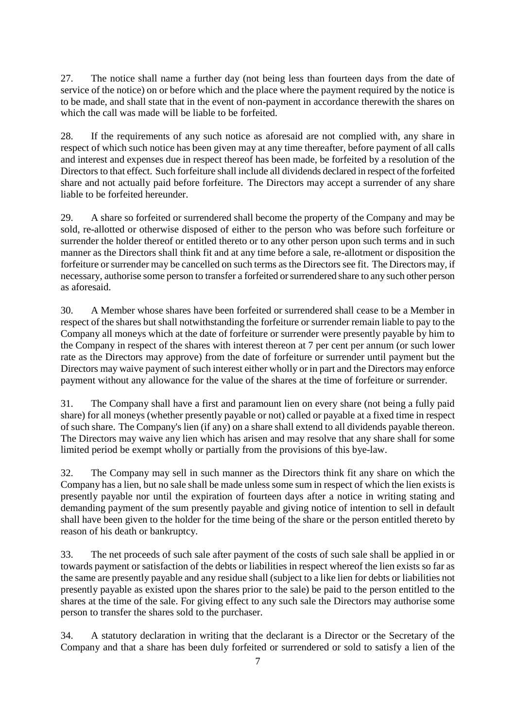27. The notice shall name a further day (not being less than fourteen days from the date of service of the notice) on or before which and the place where the payment required by the notice is to be made, and shall state that in the event of non-payment in accordance therewith the shares on which the call was made will be liable to be forfeited.

28. If the requirements of any such notice as aforesaid are not complied with, any share in respect of which such notice has been given may at any time thereafter, before payment of all calls and interest and expenses due in respect thereof has been made, be forfeited by a resolution of the Directors to that effect. Such forfeiture shall include all dividends declared in respect of the forfeited share and not actually paid before forfeiture. The Directors may accept a surrender of any share liable to be forfeited hereunder.

29. A share so forfeited or surrendered shall become the property of the Company and may be sold, re-allotted or otherwise disposed of either to the person who was before such forfeiture or surrender the holder thereof or entitled thereto or to any other person upon such terms and in such manner as the Directors shall think fit and at any time before a sale, re-allotment or disposition the forfeiture or surrender may be cancelled on such terms as the Directors see fit. The Directors may, if necessary, authorise some person to transfer a forfeited or surrendered share to any such other person as aforesaid.

30. A Member whose shares have been forfeited or surrendered shall cease to be a Member in respect of the shares but shall notwithstanding the forfeiture or surrender remain liable to pay to the Company all moneys which at the date of forfeiture or surrender were presently payable by him to the Company in respect of the shares with interest thereon at 7 per cent per annum (or such lower rate as the Directors may approve) from the date of forfeiture or surrender until payment but the Directors may waive payment of such interest either wholly or in part and the Directors may enforce payment without any allowance for the value of the shares at the time of forfeiture or surrender.

31. The Company shall have a first and paramount lien on every share (not being a fully paid share) for all moneys (whether presently payable or not) called or payable at a fixed time in respect of such share. The Company's lien (if any) on a share shall extend to all dividends payable thereon. The Directors may waive any lien which has arisen and may resolve that any share shall for some limited period be exempt wholly or partially from the provisions of this bye-law.

32. The Company may sell in such manner as the Directors think fit any share on which the Company has a lien, but no sale shall be made unless some sum in respect of which the lien exists is presently payable nor until the expiration of fourteen days after a notice in writing stating and demanding payment of the sum presently payable and giving notice of intention to sell in default shall have been given to the holder for the time being of the share or the person entitled thereto by reason of his death or bankruptcy.

33. The net proceeds of such sale after payment of the costs of such sale shall be applied in or towards payment or satisfaction of the debts or liabilities in respect whereof the lien exists so far as the same are presently payable and any residue shall (subject to a like lien for debts or liabilities not presently payable as existed upon the shares prior to the sale) be paid to the person entitled to the shares at the time of the sale. For giving effect to any such sale the Directors may authorise some person to transfer the shares sold to the purchaser.

34. A statutory declaration in writing that the declarant is a Director or the Secretary of the Company and that a share has been duly forfeited or surrendered or sold to satisfy a lien of the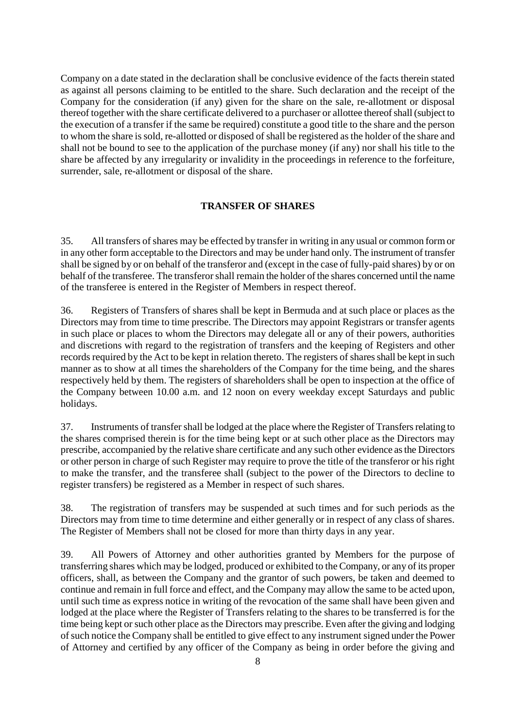Company on a date stated in the declaration shall be conclusive evidence of the facts therein stated as against all persons claiming to be entitled to the share. Such declaration and the receipt of the Company for the consideration (if any) given for the share on the sale, re-allotment or disposal thereof together with the share certificate delivered to a purchaser or allottee thereof shall (subject to the execution of a transfer if the same be required) constitute a good title to the share and the person to whom the share is sold, re-allotted or disposed of shall be registered as the holder of the share and shall not be bound to see to the application of the purchase money (if any) nor shall his title to the share be affected by any irregularity or invalidity in the proceedings in reference to the forfeiture, surrender, sale, re-allotment or disposal of the share.

#### **TRANSFER OF SHARES**

35. All transfers of shares may be effected by transfer in writing in any usual or common form or in any other form acceptable to the Directors and may be under hand only. The instrument of transfer shall be signed by or on behalf of the transferor and (except in the case of fully-paid shares) by or on behalf of the transferee. The transferor shall remain the holder of the shares concerned until the name of the transferee is entered in the Register of Members in respect thereof.

36. Registers of Transfers of shares shall be kept in Bermuda and at such place or places as the Directors may from time to time prescribe. The Directors may appoint Registrars or transfer agents in such place or places to whom the Directors may delegate all or any of their powers, authorities and discretions with regard to the registration of transfers and the keeping of Registers and other records required by the Act to be kept in relation thereto. The registers of shares shall be kept in such manner as to show at all times the shareholders of the Company for the time being, and the shares respectively held by them. The registers of shareholders shall be open to inspection at the office of the Company between 10.00 a.m. and 12 noon on every weekday except Saturdays and public holidays.

37. Instruments of transfer shall be lodged at the place where the Register of Transfersrelating to the shares comprised therein is for the time being kept or at such other place as the Directors may prescribe, accompanied by the relative share certificate and any such other evidence as the Directors or other person in charge of such Register may require to prove the title of the transferor or his right to make the transfer, and the transferee shall (subject to the power of the Directors to decline to register transfers) be registered as a Member in respect of such shares.

38. The registration of transfers may be suspended at such times and for such periods as the Directors may from time to time determine and either generally or in respect of any class of shares. The Register of Members shall not be closed for more than thirty days in any year.

39. All Powers of Attorney and other authorities granted by Members for the purpose of transferring shares which may be lodged, produced or exhibited to the Company, or any of its proper officers, shall, as between the Company and the grantor of such powers, be taken and deemed to continue and remain in full force and effect, and the Company may allow the same to be acted upon, until such time as express notice in writing of the revocation of the same shall have been given and lodged at the place where the Register of Transfers relating to the shares to be transferred is for the time being kept or such other place as the Directors may prescribe. Even after the giving and lodging of such notice the Company shall be entitled to give effect to any instrument signed under the Power of Attorney and certified by any officer of the Company as being in order before the giving and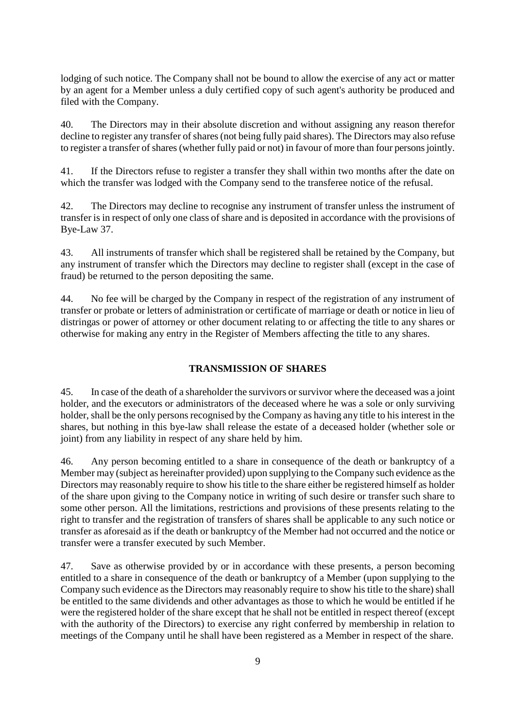lodging of such notice. The Company shall not be bound to allow the exercise of any act or matter by an agent for a Member unless a duly certified copy of such agent's authority be produced and filed with the Company.

40. The Directors may in their absolute discretion and without assigning any reason therefor decline to register any transfer of shares (not being fully paid shares). The Directors may also refuse to register a transfer of shares (whether fully paid or not) in favour of more than four persons jointly.

41. If the Directors refuse to register a transfer they shall within two months after the date on which the transfer was lodged with the Company send to the transferee notice of the refusal.

42. The Directors may decline to recognise any instrument of transfer unless the instrument of transfer is in respect of only one class of share and is deposited in accordance with the provisions of Bye-Law 37.

43. All instruments of transfer which shall be registered shall be retained by the Company, but any instrument of transfer which the Directors may decline to register shall (except in the case of fraud) be returned to the person depositing the same.

44. No fee will be charged by the Company in respect of the registration of any instrument of transfer or probate or letters of administration or certificate of marriage or death or notice in lieu of distringas or power of attorney or other document relating to or affecting the title to any shares or otherwise for making any entry in the Register of Members affecting the title to any shares.

### **TRANSMISSION OF SHARES**

45. In case of the death of a shareholder the survivors or survivor where the deceased was a joint holder, and the executors or administrators of the deceased where he was a sole or only surviving holder, shall be the only persons recognised by the Company as having any title to his interest in the shares, but nothing in this bye-law shall release the estate of a deceased holder (whether sole or joint) from any liability in respect of any share held by him.

46. Any person becoming entitled to a share in consequence of the death or bankruptcy of a Member may (subject as hereinafter provided) upon supplying to the Company such evidence as the Directors may reasonably require to show his title to the share either be registered himself as holder of the share upon giving to the Company notice in writing of such desire or transfer such share to some other person. All the limitations, restrictions and provisions of these presents relating to the right to transfer and the registration of transfers of shares shall be applicable to any such notice or transfer as aforesaid as if the death or bankruptcy of the Member had not occurred and the notice or transfer were a transfer executed by such Member.

47. Save as otherwise provided by or in accordance with these presents, a person becoming entitled to a share in consequence of the death or bankruptcy of a Member (upon supplying to the Company such evidence as the Directors may reasonably require to show his title to the share) shall be entitled to the same dividends and other advantages as those to which he would be entitled if he were the registered holder of the share except that he shall not be entitled in respect thereof (except with the authority of the Directors) to exercise any right conferred by membership in relation to meetings of the Company until he shall have been registered as a Member in respect of the share.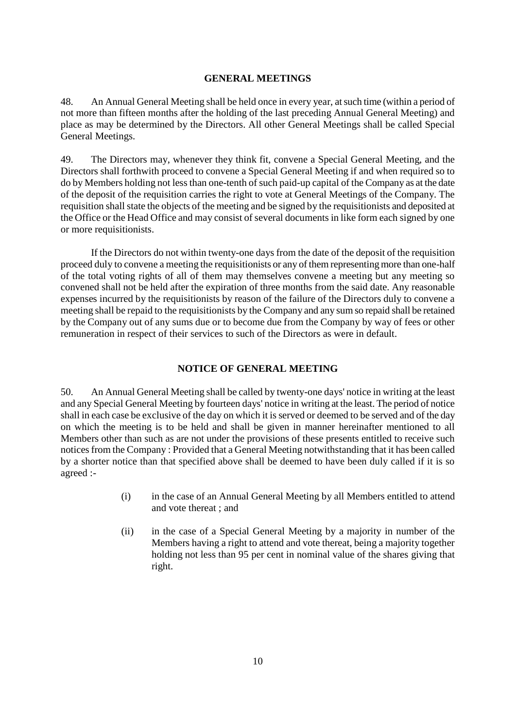#### **GENERAL MEETINGS**

48. An Annual General Meeting shall be held once in every year, at such time (within a period of not more than fifteen months after the holding of the last preceding Annual General Meeting) and place as may be determined by the Directors. All other General Meetings shall be called Special General Meetings.

49. The Directors may, whenever they think fit, convene a Special General Meeting, and the Directors shall forthwith proceed to convene a Special General Meeting if and when required so to do by Members holding not less than one-tenth of such paid-up capital of the Company as at the date of the deposit of the requisition carries the right to vote at General Meetings of the Company. The requisition shall state the objects of the meeting and be signed by the requisitionists and deposited at the Office or the Head Office and may consist of several documents in like form each signed by one or more requisitionists.

If the Directors do not within twenty-one days from the date of the deposit of the requisition proceed duly to convene a meeting the requisitionists or any of them representing more than one-half of the total voting rights of all of them may themselves convene a meeting but any meeting so convened shall not be held after the expiration of three months from the said date. Any reasonable expenses incurred by the requisitionists by reason of the failure of the Directors duly to convene a meeting shall be repaid to the requisitionists by the Company and any sum so repaid shall be retained by the Company out of any sums due or to become due from the Company by way of fees or other remuneration in respect of their services to such of the Directors as were in default.

#### **NOTICE OF GENERAL MEETING**

50. An Annual General Meeting shall be called by twenty-one days' notice in writing at the least and any Special General Meeting by fourteen days' notice in writing at the least. The period of notice shall in each case be exclusive of the day on which it is served or deemed to be served and of the day on which the meeting is to be held and shall be given in manner hereinafter mentioned to all Members other than such as are not under the provisions of these presents entitled to receive such notices from the Company : Provided that a General Meeting notwithstanding that it has been called by a shorter notice than that specified above shall be deemed to have been duly called if it is so agreed :-

- (i) in the case of an Annual General Meeting by all Members entitled to attend and vote thereat ; and
- (ii) in the case of a Special General Meeting by a majority in number of the Members having a right to attend and vote thereat, being a majority together holding not less than 95 per cent in nominal value of the shares giving that right.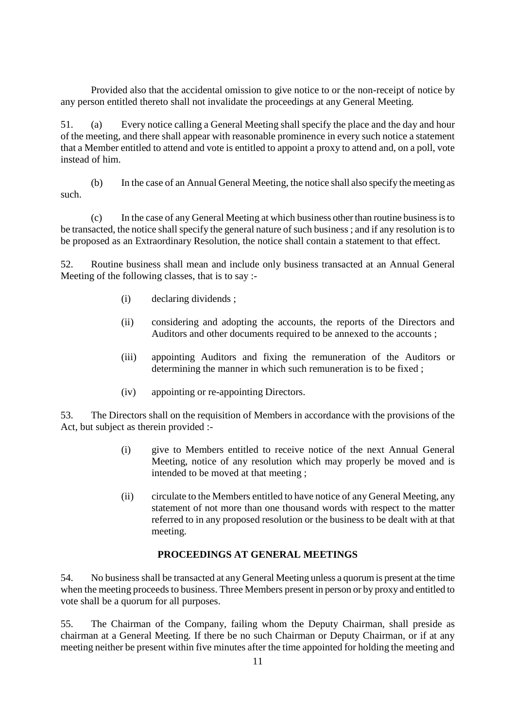Provided also that the accidental omission to give notice to or the non-receipt of notice by any person entitled thereto shall not invalidate the proceedings at any General Meeting.

51. (a) Every notice calling a General Meeting shall specify the place and the day and hour of the meeting, and there shall appear with reasonable prominence in every such notice a statement that a Member entitled to attend and vote is entitled to appoint a proxy to attend and, on a poll, vote instead of him.

(b) In the case of an Annual General Meeting, the notice shall also specify the meeting as such.

(c) In the case of any General Meeting at which business other than routine business is to be transacted, the notice shall specify the general nature of such business ; and if any resolution is to be proposed as an Extraordinary Resolution, the notice shall contain a statement to that effect.

52. Routine business shall mean and include only business transacted at an Annual General Meeting of the following classes, that is to say :-

- (i) declaring dividends ;
- (ii) considering and adopting the accounts, the reports of the Directors and Auditors and other documents required to be annexed to the accounts ;
- (iii) appointing Auditors and fixing the remuneration of the Auditors or determining the manner in which such remuneration is to be fixed ;
- (iv) appointing or re-appointing Directors.

53. The Directors shall on the requisition of Members in accordance with the provisions of the Act, but subject as therein provided :-

- (i) give to Members entitled to receive notice of the next Annual General Meeting, notice of any resolution which may properly be moved and is intended to be moved at that meeting ;
- (ii) circulate to the Members entitled to have notice of any General Meeting, any statement of not more than one thousand words with respect to the matter referred to in any proposed resolution or the business to be dealt with at that meeting.

#### **PROCEEDINGS AT GENERAL MEETINGS**

54. No business shall be transacted at any General Meeting unless a quorum is present at the time when the meeting proceeds to business. Three Members present in person or by proxy and entitled to vote shall be a quorum for all purposes.

55. The Chairman of the Company, failing whom the Deputy Chairman, shall preside as chairman at a General Meeting. If there be no such Chairman or Deputy Chairman, or if at any meeting neither be present within five minutes after the time appointed for holding the meeting and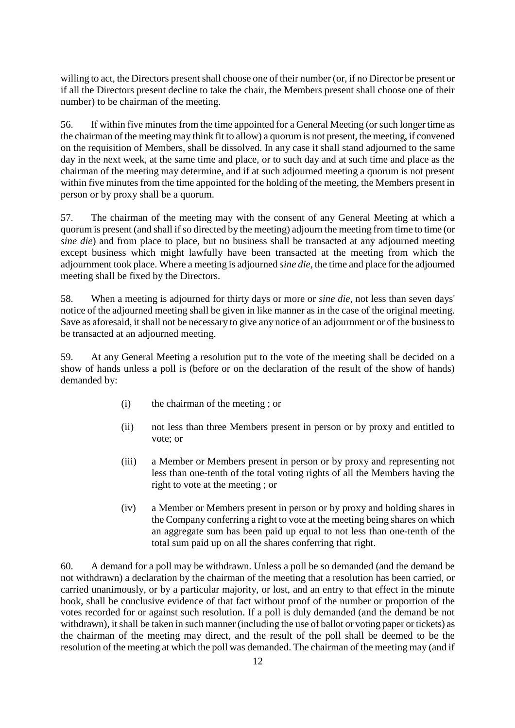willing to act, the Directors present shall choose one of their number (or, if no Director be present or if all the Directors present decline to take the chair, the Members present shall choose one of their number) to be chairman of the meeting.

56. If within five minutes from the time appointed for a General Meeting (or such longer time as the chairman of the meeting may think fit to allow) a quorum is not present, the meeting, if convened on the requisition of Members, shall be dissolved. In any case it shall stand adjourned to the same day in the next week, at the same time and place, or to such day and at such time and place as the chairman of the meeting may determine, and if at such adjourned meeting a quorum is not present within five minutes from the time appointed for the holding of the meeting, the Members present in person or by proxy shall be a quorum.

57. The chairman of the meeting may with the consent of any General Meeting at which a quorum is present (and shall if so directed by the meeting) adjourn the meeting from time to time (or *sine die*) and from place to place, but no business shall be transacted at any adjourned meeting except business which might lawfully have been transacted at the meeting from which the adjournment took place. Where a meeting is adjourned *sine die*, the time and place for the adjourned meeting shall be fixed by the Directors.

58. When a meeting is adjourned for thirty days or more or *sine die*, not less than seven days' notice of the adjourned meeting shall be given in like manner as in the case of the original meeting. Save as aforesaid, it shall not be necessary to give any notice of an adjournment or of the business to be transacted at an adjourned meeting.

59. At any General Meeting a resolution put to the vote of the meeting shall be decided on a show of hands unless a poll is (before or on the declaration of the result of the show of hands) demanded by:

- (i) the chairman of the meeting ; or
- (ii) not less than three Members present in person or by proxy and entitled to vote; or
- (iii) a Member or Members present in person or by proxy and representing not less than one-tenth of the total voting rights of all the Members having the right to vote at the meeting ; or
- (iv) a Member or Members present in person or by proxy and holding shares in the Company conferring a right to vote at the meeting being shares on which an aggregate sum has been paid up equal to not less than one-tenth of the total sum paid up on all the shares conferring that right.

60. A demand for a poll may be withdrawn. Unless a poll be so demanded (and the demand be not withdrawn) a declaration by the chairman of the meeting that a resolution has been carried, or carried unanimously, or by a particular majority, or lost, and an entry to that effect in the minute book, shall be conclusive evidence of that fact without proof of the number or proportion of the votes recorded for or against such resolution. If a poll is duly demanded (and the demand be not withdrawn), it shall be taken in such manner (including the use of ballot or voting paper or tickets) as the chairman of the meeting may direct, and the result of the poll shall be deemed to be the resolution of the meeting at which the poll was demanded. The chairman of the meeting may (and if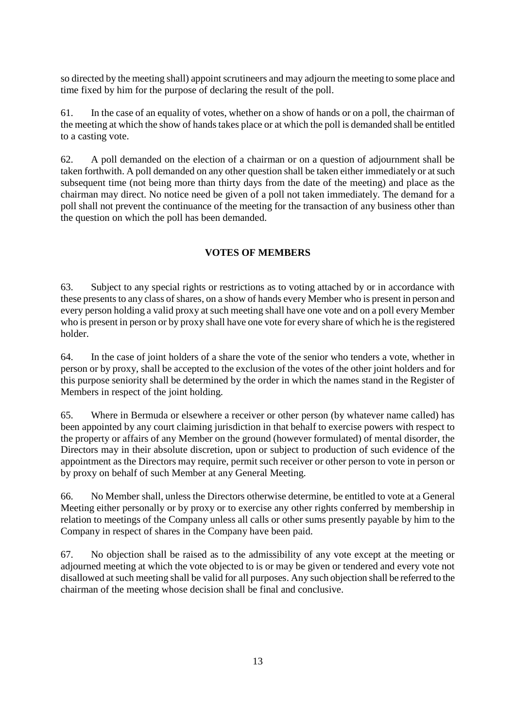so directed by the meeting shall) appoint scrutineers and may adjourn the meeting to some place and time fixed by him for the purpose of declaring the result of the poll.

61. In the case of an equality of votes, whether on a show of hands or on a poll, the chairman of the meeting at which the show of hands takes place or at which the poll is demanded shall be entitled to a casting vote.

62. A poll demanded on the election of a chairman or on a question of adjournment shall be taken forthwith. A poll demanded on any other question shall be taken either immediately or at such subsequent time (not being more than thirty days from the date of the meeting) and place as the chairman may direct. No notice need be given of a poll not taken immediately. The demand for a poll shall not prevent the continuance of the meeting for the transaction of any business other than the question on which the poll has been demanded.

#### **VOTES OF MEMBERS**

63. Subject to any special rights or restrictions as to voting attached by or in accordance with these presents to any class of shares, on a show of hands every Member who is present in person and every person holding a valid proxy at such meeting shall have one vote and on a poll every Member who is present in person or by proxy shall have one vote for every share of which he is the registered holder.

64. In the case of joint holders of a share the vote of the senior who tenders a vote, whether in person or by proxy, shall be accepted to the exclusion of the votes of the other joint holders and for this purpose seniority shall be determined by the order in which the names stand in the Register of Members in respect of the joint holding.

65. Where in Bermuda or elsewhere a receiver or other person (by whatever name called) has been appointed by any court claiming jurisdiction in that behalf to exercise powers with respect to the property or affairs of any Member on the ground (however formulated) of mental disorder, the Directors may in their absolute discretion, upon or subject to production of such evidence of the appointment as the Directors may require, permit such receiver or other person to vote in person or by proxy on behalf of such Member at any General Meeting.

66. No Member shall, unless the Directors otherwise determine, be entitled to vote at a General Meeting either personally or by proxy or to exercise any other rights conferred by membership in relation to meetings of the Company unless all calls or other sums presently payable by him to the Company in respect of shares in the Company have been paid.

67. No objection shall be raised as to the admissibility of any vote except at the meeting or adjourned meeting at which the vote objected to is or may be given or tendered and every vote not disallowed at such meeting shall be valid for all purposes. Any such objection shall be referred to the chairman of the meeting whose decision shall be final and conclusive.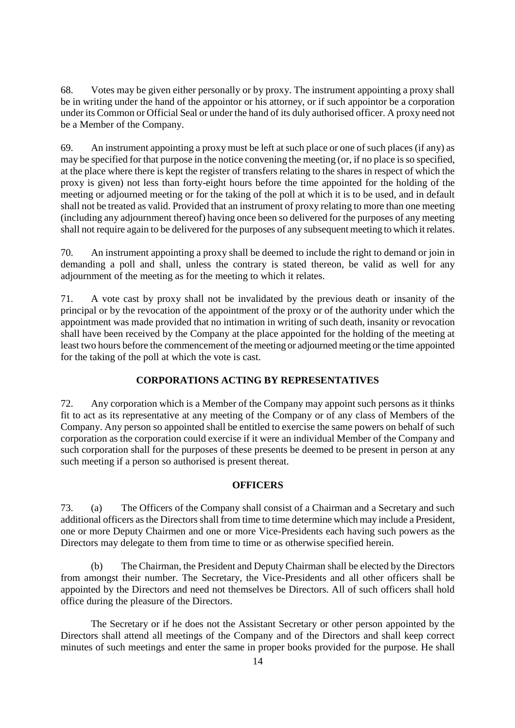68. Votes may be given either personally or by proxy. The instrument appointing a proxy shall be in writing under the hand of the appointor or his attorney, or if such appointor be a corporation under its Common or Official Seal or under the hand of its duly authorised officer. A proxy need not be a Member of the Company.

69. An instrument appointing a proxy must be left at such place or one of such places (if any) as may be specified for that purpose in the notice convening the meeting (or, if no place is so specified, at the place where there is kept the register of transfers relating to the shares in respect of which the proxy is given) not less than forty-eight hours before the time appointed for the holding of the meeting or adjourned meeting or for the taking of the poll at which it is to be used, and in default shall not be treated as valid. Provided that an instrument of proxy relating to more than one meeting (including any adjournment thereof) having once been so delivered for the purposes of any meeting shall not require again to be delivered for the purposes of any subsequent meeting to which it relates.

70. An instrument appointing a proxy shall be deemed to include the right to demand or join in demanding a poll and shall, unless the contrary is stated thereon, be valid as well for any adjournment of the meeting as for the meeting to which it relates.

71. A vote cast by proxy shall not be invalidated by the previous death or insanity of the principal or by the revocation of the appointment of the proxy or of the authority under which the appointment was made provided that no intimation in writing of such death, insanity or revocation shall have been received by the Company at the place appointed for the holding of the meeting at least two hours before the commencement of the meeting or adjourned meeting or the time appointed for the taking of the poll at which the vote is cast.

#### **CORPORATIONS ACTING BY REPRESENTATIVES**

72. Any corporation which is a Member of the Company may appoint such persons as it thinks fit to act as its representative at any meeting of the Company or of any class of Members of the Company. Any person so appointed shall be entitled to exercise the same powers on behalf of such corporation as the corporation could exercise if it were an individual Member of the Company and such corporation shall for the purposes of these presents be deemed to be present in person at any such meeting if a person so authorised is present thereat.

#### **OFFICERS**

73. (a) The Officers of the Company shall consist of a Chairman and a Secretary and such additional officers as the Directors shall from time to time determine which may include a President, one or more Deputy Chairmen and one or more Vice-Presidents each having such powers as the Directors may delegate to them from time to time or as otherwise specified herein.

(b) The Chairman, the President and Deputy Chairman shall be elected by the Directors from amongst their number. The Secretary, the Vice-Presidents and all other officers shall be appointed by the Directors and need not themselves be Directors. All of such officers shall hold office during the pleasure of the Directors.

The Secretary or if he does not the Assistant Secretary or other person appointed by the Directors shall attend all meetings of the Company and of the Directors and shall keep correct minutes of such meetings and enter the same in proper books provided for the purpose. He shall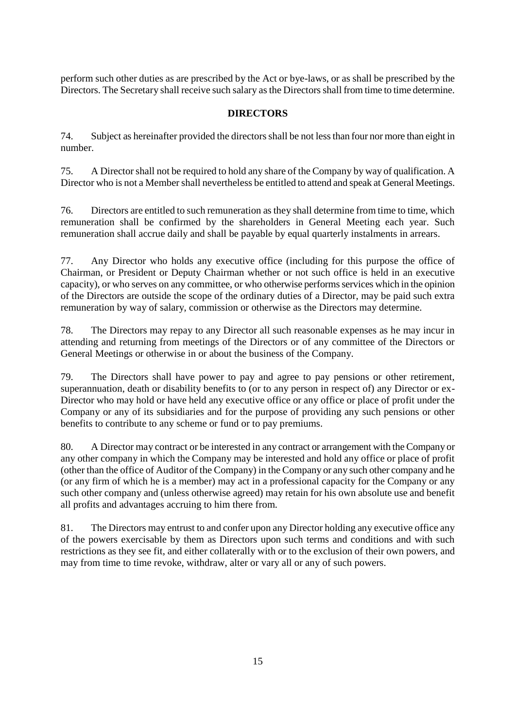perform such other duties as are prescribed by the Act or bye-laws, or as shall be prescribed by the Directors. The Secretary shall receive such salary as the Directors shall from time to time determine.

#### **DIRECTORS**

74. Subject as hereinafter provided the directors shall be not less than four nor more than eight in number.

75. A Director shall not be required to hold any share of the Company by way of qualification. A Director who is not a Member shall nevertheless be entitled to attend and speak at General Meetings.

76. Directors are entitled to such remuneration as they shall determine from time to time, which remuneration shall be confirmed by the shareholders in General Meeting each year. Such remuneration shall accrue daily and shall be payable by equal quarterly instalments in arrears.

77. Any Director who holds any executive office (including for this purpose the office of Chairman, or President or Deputy Chairman whether or not such office is held in an executive capacity), or who serves on any committee, or who otherwise performs services which in the opinion of the Directors are outside the scope of the ordinary duties of a Director, may be paid such extra remuneration by way of salary, commission or otherwise as the Directors may determine.

78. The Directors may repay to any Director all such reasonable expenses as he may incur in attending and returning from meetings of the Directors or of any committee of the Directors or General Meetings or otherwise in or about the business of the Company.

79. The Directors shall have power to pay and agree to pay pensions or other retirement, superannuation, death or disability benefits to (or to any person in respect of) any Director or ex-Director who may hold or have held any executive office or any office or place of profit under the Company or any of its subsidiaries and for the purpose of providing any such pensions or other benefits to contribute to any scheme or fund or to pay premiums.

80. A Director may contract or be interested in any contract or arrangement with the Company or any other company in which the Company may be interested and hold any office or place of profit (other than the office of Auditor of the Company) in the Company or any such other company and he (or any firm of which he is a member) may act in a professional capacity for the Company or any such other company and (unless otherwise agreed) may retain for his own absolute use and benefit all profits and advantages accruing to him there from.

81. The Directors may entrust to and confer upon any Director holding any executive office any of the powers exercisable by them as Directors upon such terms and conditions and with such restrictions as they see fit, and either collaterally with or to the exclusion of their own powers, and may from time to time revoke, withdraw, alter or vary all or any of such powers.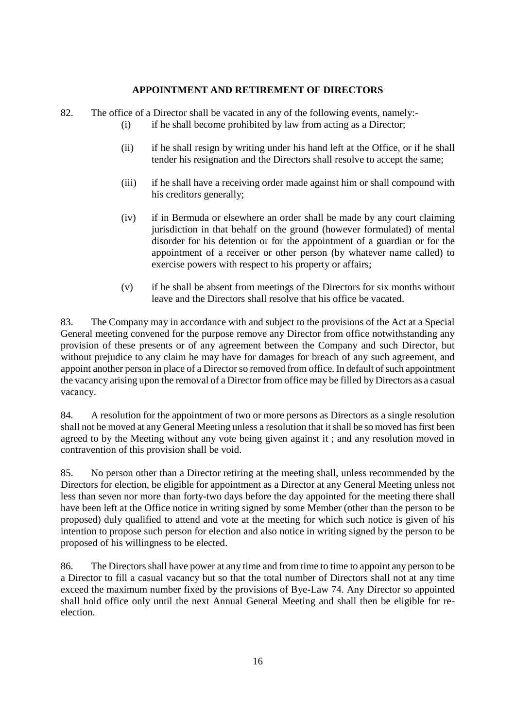#### **APPOINTMENT AND RETIREMENT OF DIRECTORS**

- 82. The office of a Director shall be vacated in any of the following events, namely:-
	- (i) if he shall become prohibited by law from acting as a Director;
	- (ii) if he shall resign by writing under his hand left at the Office, or if he shall tender his resignation and the Directors shall resolve to accept the same;
	- (iii) if he shall have a receiving order made against him or shall compound with his creditors generally;
	- (iv) if in Bermuda or elsewhere an order shall be made by any court claiming jurisdiction in that behalf on the ground (however formulated) of mental disorder for his detention or for the appointment of a guardian or for the appointment of a receiver or other person (by whatever name called) to exercise powers with respect to his property or affairs;
	- (v) if he shall be absent from meetings of the Directors for six months without leave and the Directors shall resolve that his office be vacated.

83. The Company may in accordance with and subject to the provisions of the Act at a Special General meeting convened for the purpose remove any Director from office notwithstanding any provision of these presents or of any agreement between the Company and such Director, but without prejudice to any claim he may have for damages for breach of any such agreement, and appoint another person in place of a Director so removed from office. In default of such appointment the vacancy arising upon the removal of a Director from office may be filled by Directors as a casual vacancy.

84. A resolution for the appointment of two or more persons as Directors as a single resolution shall not be moved at any General Meeting unless a resolution that it shall be so moved has first been agreed to by the Meeting without any vote being given against it ; and any resolution moved in contravention of this provision shall be void.

85. No person other than a Director retiring at the meeting shall, unless recommended by the Directors for election, be eligible for appointment as a Director at any General Meeting unless not less than seven nor more than forty-two days before the day appointed for the meeting there shall have been left at the Office notice in writing signed by some Member (other than the person to be proposed) duly qualified to attend and vote at the meeting for which such notice is given of his intention to propose such person for election and also notice in writing signed by the person to be proposed of his willingness to be elected.

86. The Directors shall have power at any time and from time to time to appoint any person to be a Director to fill a casual vacancy but so that the total number of Directors shall not at any time exceed the maximum number fixed by the provisions of Bye-Law 74. Any Director so appointed shall hold office only until the next Annual General Meeting and shall then be eligible for reelection.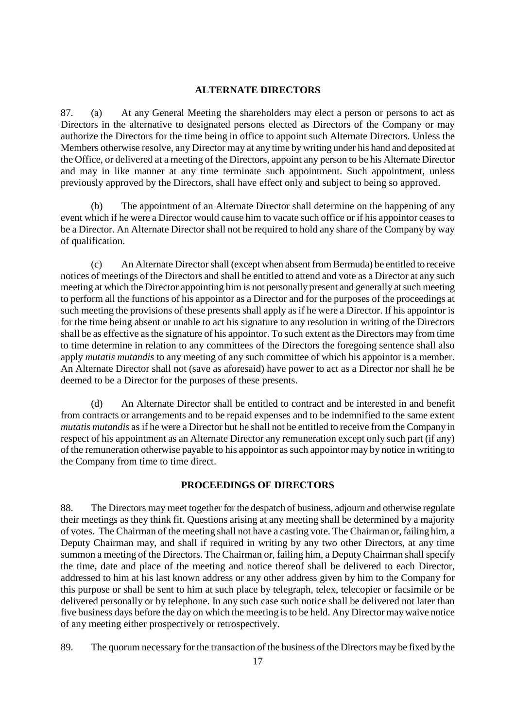#### **ALTERNATE DIRECTORS**

87. (a) At any General Meeting the shareholders may elect a person or persons to act as Directors in the alternative to designated persons elected as Directors of the Company or may authorize the Directors for the time being in office to appoint such Alternate Directors. Unless the Members otherwise resolve, any Director may at any time by writing under his hand and deposited at the Office, or delivered at a meeting of the Directors, appoint any person to be his Alternate Director and may in like manner at any time terminate such appointment. Such appointment, unless previously approved by the Directors, shall have effect only and subject to being so approved.

(b) The appointment of an Alternate Director shall determine on the happening of any event which if he were a Director would cause him to vacate such office or if his appointor ceases to be a Director. An Alternate Director shall not be required to hold any share of the Company by way of qualification.

(c) An Alternate Director shall (except when absent from Bermuda) be entitled to receive notices of meetings of the Directors and shall be entitled to attend and vote as a Director at any such meeting at which the Director appointing him is not personally present and generally at such meeting to perform all the functions of his appointor as a Director and for the purposes of the proceedings at such meeting the provisions of these presents shall apply as if he were a Director. If his appointor is for the time being absent or unable to act his signature to any resolution in writing of the Directors shall be as effective as the signature of his appointor. To such extent as the Directors may from time to time determine in relation to any committees of the Directors the foregoing sentence shall also apply *mutatis mutandis* to any meeting of any such committee of which his appointor is a member. An Alternate Director shall not (save as aforesaid) have power to act as a Director nor shall he be deemed to be a Director for the purposes of these presents.

(d) An Alternate Director shall be entitled to contract and be interested in and benefit from contracts or arrangements and to be repaid expenses and to be indemnified to the same extent *mutatis mutandis* as if he were a Director but he shall not be entitled to receive from the Company in respect of his appointment as an Alternate Director any remuneration except only such part (if any) of the remuneration otherwise payable to his appointor as such appointor may by notice in writing to the Company from time to time direct.

#### **PROCEEDINGS OF DIRECTORS**

88. The Directors may meet together for the despatch of business, adjourn and otherwise regulate their meetings as they think fit. Questions arising at any meeting shall be determined by a majority of votes. The Chairman of the meeting shall not have a casting vote. The Chairman or, failing him, a Deputy Chairman may, and shall if required in writing by any two other Directors, at any time summon a meeting of the Directors. The Chairman or, failing him, a Deputy Chairman shall specify the time, date and place of the meeting and notice thereof shall be delivered to each Director, addressed to him at his last known address or any other address given by him to the Company for this purpose or shall be sent to him at such place by telegraph, telex, telecopier or facsimile or be delivered personally or by telephone. In any such case such notice shall be delivered not later than five business days before the day on which the meeting is to be held. Any Director may waive notice of any meeting either prospectively or retrospectively.

89. The quorum necessary for the transaction of the business of the Directors may be fixed by the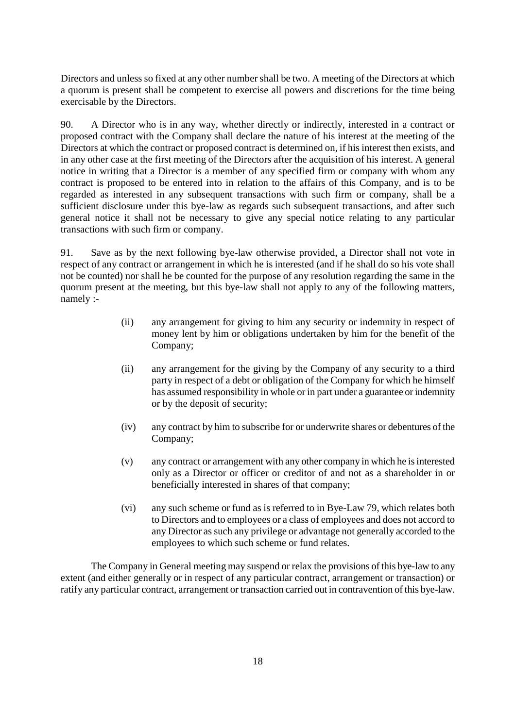Directors and unless so fixed at any other number shall be two. A meeting of the Directors at which a quorum is present shall be competent to exercise all powers and discretions for the time being exercisable by the Directors.

90. A Director who is in any way, whether directly or indirectly, interested in a contract or proposed contract with the Company shall declare the nature of his interest at the meeting of the Directors at which the contract or proposed contract is determined on, if his interest then exists, and in any other case at the first meeting of the Directors after the acquisition of his interest. A general notice in writing that a Director is a member of any specified firm or company with whom any contract is proposed to be entered into in relation to the affairs of this Company, and is to be regarded as interested in any subsequent transactions with such firm or company, shall be a sufficient disclosure under this bye-law as regards such subsequent transactions, and after such general notice it shall not be necessary to give any special notice relating to any particular transactions with such firm or company.

91. Save as by the next following bye-law otherwise provided, a Director shall not vote in respect of any contract or arrangement in which he is interested (and if he shall do so his vote shall not be counted) nor shall he be counted for the purpose of any resolution regarding the same in the quorum present at the meeting, but this bye-law shall not apply to any of the following matters, namely :-

- (ii) any arrangement for giving to him any security or indemnity in respect of money lent by him or obligations undertaken by him for the benefit of the Company;
- (ii) any arrangement for the giving by the Company of any security to a third party in respect of a debt or obligation of the Company for which he himself has assumed responsibility in whole or in part under a guarantee or indemnity or by the deposit of security;
- (iv) any contract by him to subscribe for or underwrite shares or debentures of the Company;
- (v) any contract or arrangement with any other company in which he is interested only as a Director or officer or creditor of and not as a shareholder in or beneficially interested in shares of that company;
- (vi) any such scheme or fund as is referred to in Bye-Law 79, which relates both to Directors and to employees or a class of employees and does not accord to any Director as such any privilege or advantage not generally accorded to the employees to which such scheme or fund relates.

The Company in General meeting may suspend or relax the provisions of this bye-law to any extent (and either generally or in respect of any particular contract, arrangement or transaction) or ratify any particular contract, arrangement or transaction carried out in contravention of this bye-law.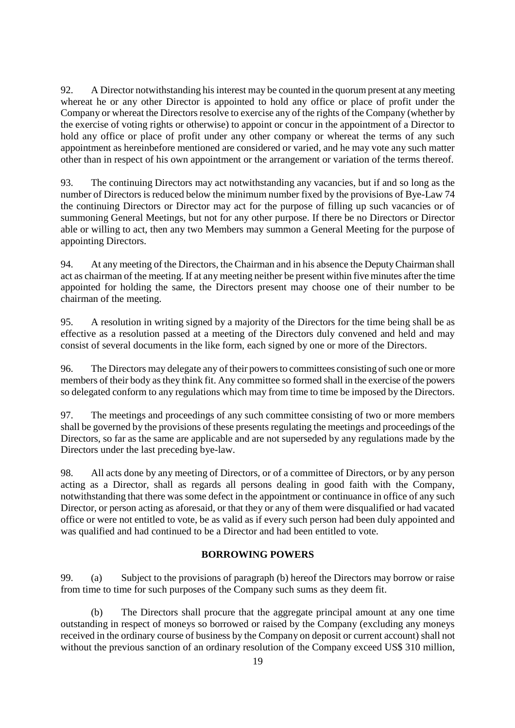92. A Director notwithstanding his interest may be counted in the quorum present at any meeting whereat he or any other Director is appointed to hold any office or place of profit under the Company or whereat the Directors resolve to exercise any of the rights of the Company (whether by the exercise of voting rights or otherwise) to appoint or concur in the appointment of a Director to hold any office or place of profit under any other company or whereat the terms of any such appointment as hereinbefore mentioned are considered or varied, and he may vote any such matter other than in respect of his own appointment or the arrangement or variation of the terms thereof.

93. The continuing Directors may act notwithstanding any vacancies, but if and so long as the number of Directors is reduced below the minimum number fixed by the provisions of Bye-Law 74 the continuing Directors or Director may act for the purpose of filling up such vacancies or of summoning General Meetings, but not for any other purpose. If there be no Directors or Director able or willing to act, then any two Members may summon a General Meeting for the purpose of appointing Directors.

94. At any meeting of the Directors, the Chairman and in his absence the Deputy Chairman shall act as chairman of the meeting. If at any meeting neither be present within five minutes after the time appointed for holding the same, the Directors present may choose one of their number to be chairman of the meeting.

95. A resolution in writing signed by a majority of the Directors for the time being shall be as effective as a resolution passed at a meeting of the Directors duly convened and held and may consist of several documents in the like form, each signed by one or more of the Directors.

96. The Directors may delegate any of their powers to committees consisting of such one or more members of their body as they think fit. Any committee so formed shall in the exercise of the powers so delegated conform to any regulations which may from time to time be imposed by the Directors.

97. The meetings and proceedings of any such committee consisting of two or more members shall be governed by the provisions of these presents regulating the meetings and proceedings of the Directors, so far as the same are applicable and are not superseded by any regulations made by the Directors under the last preceding bye-law.

98. All acts done by any meeting of Directors, or of a committee of Directors, or by any person acting as a Director, shall as regards all persons dealing in good faith with the Company, notwithstanding that there was some defect in the appointment or continuance in office of any such Director, or person acting as aforesaid, or that they or any of them were disqualified or had vacated office or were not entitled to vote, be as valid as if every such person had been duly appointed and was qualified and had continued to be a Director and had been entitled to vote.

#### **BORROWING POWERS**

99. (a) Subject to the provisions of paragraph (b) hereof the Directors may borrow or raise from time to time for such purposes of the Company such sums as they deem fit.

(b) The Directors shall procure that the aggregate principal amount at any one time outstanding in respect of moneys so borrowed or raised by the Company (excluding any moneys received in the ordinary course of business by the Company on deposit or current account) shall not without the previous sanction of an ordinary resolution of the Company exceed US\$ 310 million,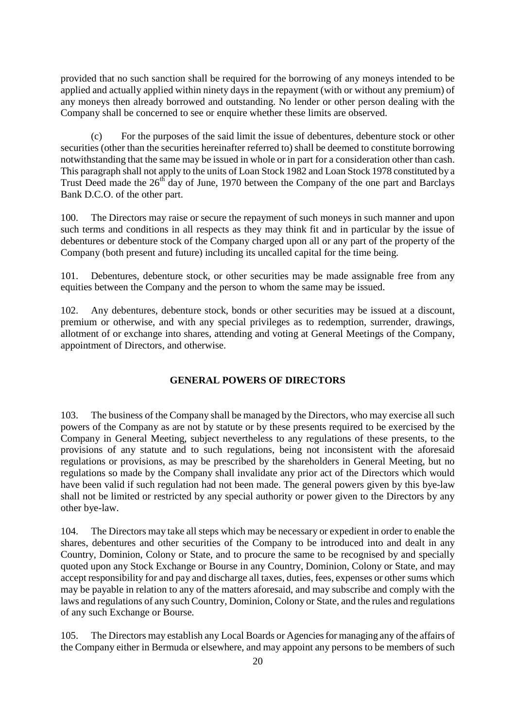provided that no such sanction shall be required for the borrowing of any moneys intended to be applied and actually applied within ninety days in the repayment (with or without any premium) of any moneys then already borrowed and outstanding. No lender or other person dealing with the Company shall be concerned to see or enquire whether these limits are observed.

(c) For the purposes of the said limit the issue of debentures, debenture stock or other securities (other than the securities hereinafter referred to) shall be deemed to constitute borrowing notwithstanding that the same may be issued in whole or in part for a consideration other than cash. This paragraph shall not apply to the units of Loan Stock 1982 and Loan Stock 1978 constituted by a Trust Deed made the 26<sup>th</sup> day of June, 1970 between the Company of the one part and Barclays Bank D.C.O. of the other part.

100. The Directors may raise or secure the repayment of such moneys in such manner and upon such terms and conditions in all respects as they may think fit and in particular by the issue of debentures or debenture stock of the Company charged upon all or any part of the property of the Company (both present and future) including its uncalled capital for the time being.

101. Debentures, debenture stock, or other securities may be made assignable free from any equities between the Company and the person to whom the same may be issued.

102. Any debentures, debenture stock, bonds or other securities may be issued at a discount, premium or otherwise, and with any special privileges as to redemption, surrender, drawings, allotment of or exchange into shares, attending and voting at General Meetings of the Company, appointment of Directors, and otherwise.

#### **GENERAL POWERS OF DIRECTORS**

103. The business of the Company shall be managed by the Directors, who may exercise all such powers of the Company as are not by statute or by these presents required to be exercised by the Company in General Meeting, subject nevertheless to any regulations of these presents, to the provisions of any statute and to such regulations, being not inconsistent with the aforesaid regulations or provisions, as may be prescribed by the shareholders in General Meeting, but no regulations so made by the Company shall invalidate any prior act of the Directors which would have been valid if such regulation had not been made. The general powers given by this bye-law shall not be limited or restricted by any special authority or power given to the Directors by any other bye-law.

104. The Directors may take all steps which may be necessary or expedient in order to enable the shares, debentures and other securities of the Company to be introduced into and dealt in any Country, Dominion, Colony or State, and to procure the same to be recognised by and specially quoted upon any Stock Exchange or Bourse in any Country, Dominion, Colony or State, and may accept responsibility for and pay and discharge all taxes, duties, fees, expenses or other sums which may be payable in relation to any of the matters aforesaid, and may subscribe and comply with the laws and regulations of any such Country, Dominion, Colony or State, and the rules and regulations of any such Exchange or Bourse.

105. The Directors may establish any Local Boards or Agencies for managing any of the affairs of the Company either in Bermuda or elsewhere, and may appoint any persons to be members of such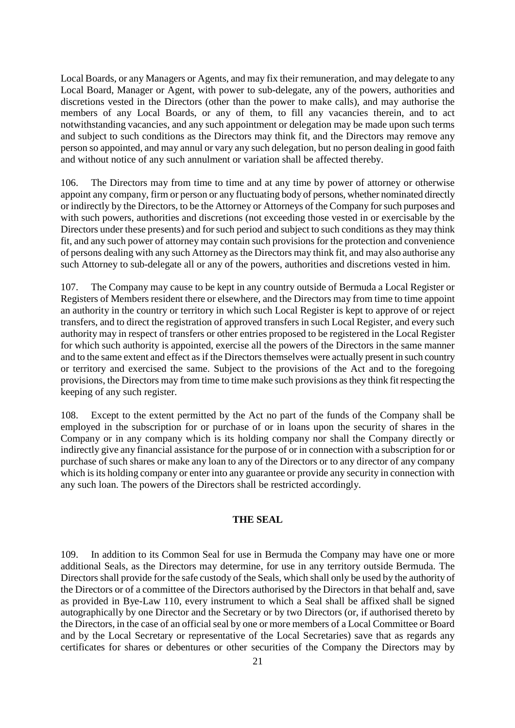Local Boards, or any Managers or Agents, and may fix their remuneration, and may delegate to any Local Board, Manager or Agent, with power to sub-delegate, any of the powers, authorities and discretions vested in the Directors (other than the power to make calls), and may authorise the members of any Local Boards, or any of them, to fill any vacancies therein, and to act notwithstanding vacancies, and any such appointment or delegation may be made upon such terms and subject to such conditions as the Directors may think fit, and the Directors may remove any person so appointed, and may annul or vary any such delegation, but no person dealing in good faith and without notice of any such annulment or variation shall be affected thereby.

106. The Directors may from time to time and at any time by power of attorney or otherwise appoint any company, firm or person or any fluctuating body of persons, whether nominated directly or indirectly by the Directors, to be the Attorney or Attorneys of the Company for such purposes and with such powers, authorities and discretions (not exceeding those vested in or exercisable by the Directors under these presents) and for such period and subject to such conditions as they may think fit, and any such power of attorney may contain such provisions for the protection and convenience of persons dealing with any such Attorney as the Directors may think fit, and may also authorise any such Attorney to sub-delegate all or any of the powers, authorities and discretions vested in him.

107. The Company may cause to be kept in any country outside of Bermuda a Local Register or Registers of Members resident there or elsewhere, and the Directors may from time to time appoint an authority in the country or territory in which such Local Register is kept to approve of or reject transfers, and to direct the registration of approved transfers in such Local Register, and every such authority may in respect of transfers or other entries proposed to be registered in the Local Register for which such authority is appointed, exercise all the powers of the Directors in the same manner and to the same extent and effect as if the Directors themselves were actually present in such country or territory and exercised the same. Subject to the provisions of the Act and to the foregoing provisions, the Directors may from time to time make such provisions as they think fit respecting the keeping of any such register.

108. Except to the extent permitted by the Act no part of the funds of the Company shall be employed in the subscription for or purchase of or in loans upon the security of shares in the Company or in any company which is its holding company nor shall the Company directly or indirectly give any financial assistance for the purpose of or in connection with a subscription for or purchase of such shares or make any loan to any of the Directors or to any director of any company which is its holding company or enter into any guarantee or provide any security in connection with any such loan. The powers of the Directors shall be restricted accordingly.

#### **THE SEAL**

109. In addition to its Common Seal for use in Bermuda the Company may have one or more additional Seals, as the Directors may determine, for use in any territory outside Bermuda. The Directors shall provide for the safe custody of the Seals, which shall only be used by the authority of the Directors or of a committee of the Directors authorised by the Directors in that behalf and, save as provided in Bye-Law 110, every instrument to which a Seal shall be affixed shall be signed autographically by one Director and the Secretary or by two Directors (or, if authorised thereto by the Directors, in the case of an official seal by one or more members of a Local Committee or Board and by the Local Secretary or representative of the Local Secretaries) save that as regards any certificates for shares or debentures or other securities of the Company the Directors may by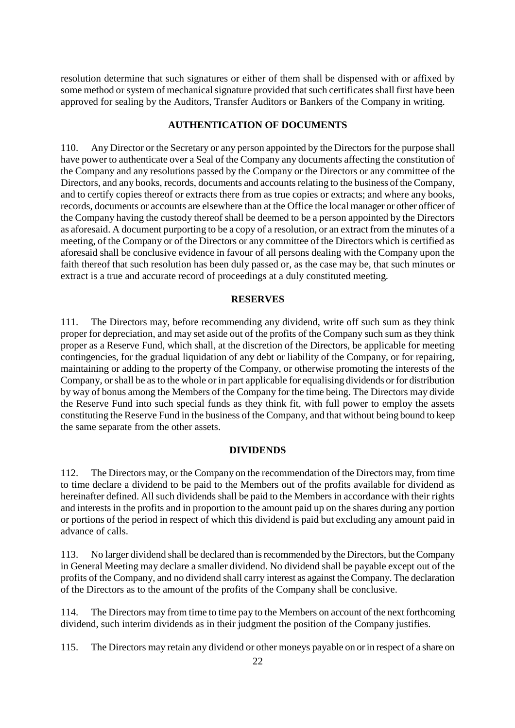resolution determine that such signatures or either of them shall be dispensed with or affixed by some method or system of mechanical signature provided that such certificates shall first have been approved for sealing by the Auditors, Transfer Auditors or Bankers of the Company in writing.

#### **AUTHENTICATION OF DOCUMENTS**

110. Any Director or the Secretary or any person appointed by the Directors for the purpose shall have power to authenticate over a Seal of the Company any documents affecting the constitution of the Company and any resolutions passed by the Company or the Directors or any committee of the Directors, and any books, records, documents and accounts relating to the business of the Company, and to certify copies thereof or extracts there from as true copies or extracts; and where any books, records, documents or accounts are elsewhere than at the Office the local manager or other officer of the Company having the custody thereof shall be deemed to be a person appointed by the Directors as aforesaid. A document purporting to be a copy of a resolution, or an extract from the minutes of a meeting, of the Company or of the Directors or any committee of the Directors which is certified as aforesaid shall be conclusive evidence in favour of all persons dealing with the Company upon the faith thereof that such resolution has been duly passed or, as the case may be, that such minutes or extract is a true and accurate record of proceedings at a duly constituted meeting.

#### **RESERVES**

111. The Directors may, before recommending any dividend, write off such sum as they think proper for depreciation, and may set aside out of the profits of the Company such sum as they think proper as a Reserve Fund, which shall, at the discretion of the Directors, be applicable for meeting contingencies, for the gradual liquidation of any debt or liability of the Company, or for repairing, maintaining or adding to the property of the Company, or otherwise promoting the interests of the Company, or shall be as to the whole or in part applicable for equalising dividends or for distribution by way of bonus among the Members of the Company for the time being. The Directors may divide the Reserve Fund into such special funds as they think fit, with full power to employ the assets constituting the Reserve Fund in the business of the Company, and that without being bound to keep the same separate from the other assets.

#### **DIVIDENDS**

112. The Directors may, or the Company on the recommendation of the Directors may, from time to time declare a dividend to be paid to the Members out of the profits available for dividend as hereinafter defined. All such dividends shall be paid to the Members in accordance with their rights and interests in the profits and in proportion to the amount paid up on the shares during any portion or portions of the period in respect of which this dividend is paid but excluding any amount paid in advance of calls.

113. No larger dividend shall be declared than is recommended by the Directors, but the Company in General Meeting may declare a smaller dividend. No dividend shall be payable except out of the profits of the Company, and no dividend shall carry interest as against the Company. The declaration of the Directors as to the amount of the profits of the Company shall be conclusive.

114. The Directors may from time to time pay to the Members on account of the next forthcoming dividend, such interim dividends as in their judgment the position of the Company justifies.

115. The Directors may retain any dividend or other moneys payable on or in respect of a share on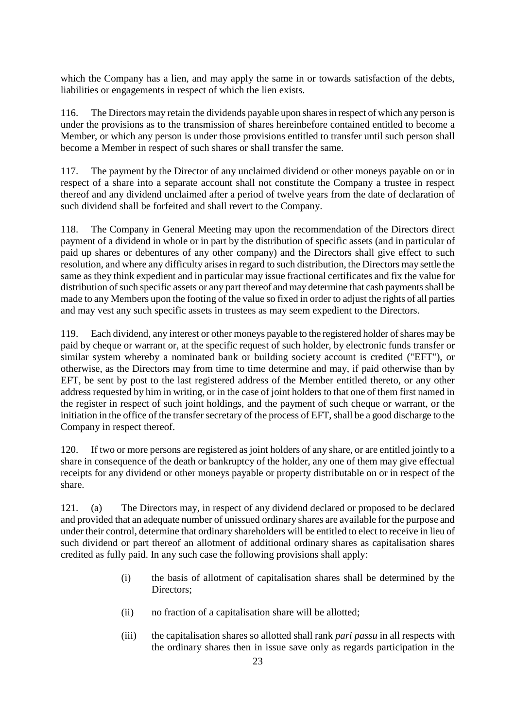which the Company has a lien, and may apply the same in or towards satisfaction of the debts, liabilities or engagements in respect of which the lien exists.

116. The Directors may retain the dividends payable upon shares in respect of which any person is under the provisions as to the transmission of shares hereinbefore contained entitled to become a Member, or which any person is under those provisions entitled to transfer until such person shall become a Member in respect of such shares or shall transfer the same.

117. The payment by the Director of any unclaimed dividend or other moneys payable on or in respect of a share into a separate account shall not constitute the Company a trustee in respect thereof and any dividend unclaimed after a period of twelve years from the date of declaration of such dividend shall be forfeited and shall revert to the Company.

118. The Company in General Meeting may upon the recommendation of the Directors direct payment of a dividend in whole or in part by the distribution of specific assets (and in particular of paid up shares or debentures of any other company) and the Directors shall give effect to such resolution, and where any difficulty arises in regard to such distribution, the Directors may settle the same as they think expedient and in particular may issue fractional certificates and fix the value for distribution of such specific assets or any part thereof and may determine that cash payments shall be made to any Members upon the footing of the value so fixed in order to adjust the rights of all parties and may vest any such specific assets in trustees as may seem expedient to the Directors.

119. Each dividend, any interest or other moneys payable to the registered holder of shares may be paid by cheque or warrant or, at the specific request of such holder, by electronic funds transfer or similar system whereby a nominated bank or building society account is credited ("EFT"), or otherwise, as the Directors may from time to time determine and may, if paid otherwise than by EFT, be sent by post to the last registered address of the Member entitled thereto, or any other address requested by him in writing, or in the case of joint holders to that one of them first named in the register in respect of such joint holdings, and the payment of such cheque or warrant, or the initiation in the office of the transfer secretary of the process of EFT, shall be a good discharge to the Company in respect thereof.

120. If two or more persons are registered as joint holders of any share, or are entitled jointly to a share in consequence of the death or bankruptcy of the holder, any one of them may give effectual receipts for any dividend or other moneys payable or property distributable on or in respect of the share.

121. (a) The Directors may, in respect of any dividend declared or proposed to be declared and provided that an adequate number of unissued ordinary shares are available for the purpose and under their control, determine that ordinary shareholders will be entitled to elect to receive in lieu of such dividend or part thereof an allotment of additional ordinary shares as capitalisation shares credited as fully paid. In any such case the following provisions shall apply:

- (i) the basis of allotment of capitalisation shares shall be determined by the Directors;
- (ii) no fraction of a capitalisation share will be allotted;
- (iii) the capitalisation shares so allotted shall rank *pari passu* in all respects with the ordinary shares then in issue save only as regards participation in the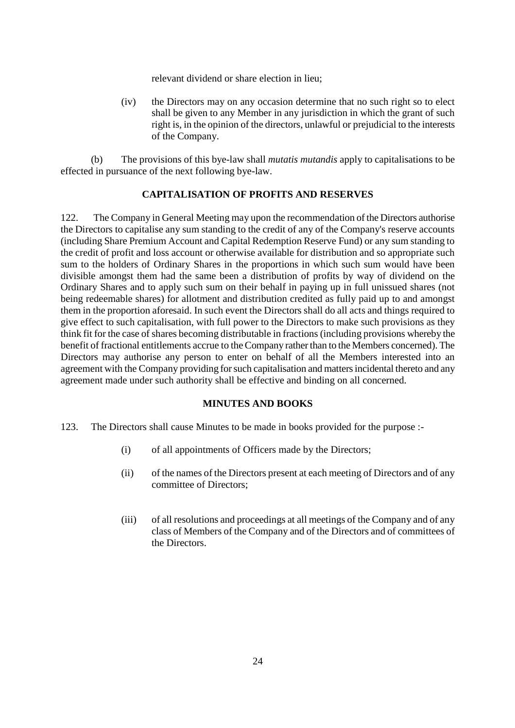relevant dividend or share election in lieu;

(iv) the Directors may on any occasion determine that no such right so to elect shall be given to any Member in any jurisdiction in which the grant of such right is, in the opinion of the directors, unlawful or prejudicial to the interests of the Company.

(b) The provisions of this bye-law shall *mutatis mutandis* apply to capitalisations to be effected in pursuance of the next following bye-law.

#### **CAPITALISATION OF PROFITS AND RESERVES**

122. The Company in General Meeting may upon the recommendation of the Directors authorise the Directors to capitalise any sum standing to the credit of any of the Company's reserve accounts (including Share Premium Account and Capital Redemption Reserve Fund) or any sum standing to the credit of profit and loss account or otherwise available for distribution and so appropriate such sum to the holders of Ordinary Shares in the proportions in which such sum would have been divisible amongst them had the same been a distribution of profits by way of dividend on the Ordinary Shares and to apply such sum on their behalf in paying up in full unissued shares (not being redeemable shares) for allotment and distribution credited as fully paid up to and amongst them in the proportion aforesaid. In such event the Directors shall do all acts and things required to give effect to such capitalisation, with full power to the Directors to make such provisions as they think fit for the case of shares becoming distributable in fractions (including provisions whereby the benefit of fractional entitlements accrue to the Company rather than to the Members concerned). The Directors may authorise any person to enter on behalf of all the Members interested into an agreement with the Company providing for such capitalisation and matters incidental thereto and any agreement made under such authority shall be effective and binding on all concerned.

#### **MINUTES AND BOOKS**

- 123. The Directors shall cause Minutes to be made in books provided for the purpose :-
	- (i) of all appointments of Officers made by the Directors;
	- (ii) of the names of the Directors present at each meeting of Directors and of any committee of Directors;
	- (iii) of all resolutions and proceedings at all meetings of the Company and of any class of Members of the Company and of the Directors and of committees of the Directors.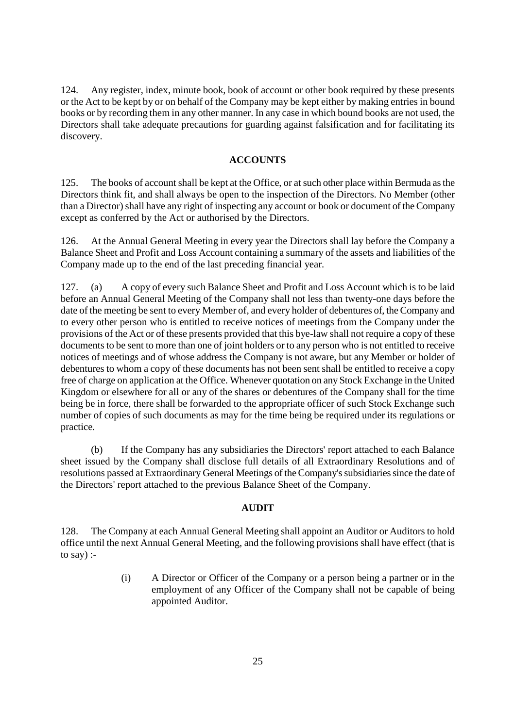124. Any register, index, minute book, book of account or other book required by these presents or the Act to be kept by or on behalf of the Company may be kept either by making entries in bound books or by recording them in any other manner. In any case in which bound books are not used, the Directors shall take adequate precautions for guarding against falsification and for facilitating its discovery.

#### **ACCOUNTS**

125. The books of account shall be kept at the Office, or at such other place within Bermuda as the Directors think fit, and shall always be open to the inspection of the Directors. No Member (other than a Director) shall have any right of inspecting any account or book or document of the Company except as conferred by the Act or authorised by the Directors.

126. At the Annual General Meeting in every year the Directors shall lay before the Company a Balance Sheet and Profit and Loss Account containing a summary of the assets and liabilities of the Company made up to the end of the last preceding financial year.

127. (a) A copy of every such Balance Sheet and Profit and Loss Account which is to be laid before an Annual General Meeting of the Company shall not less than twenty-one days before the date of the meeting be sent to every Member of, and every holder of debentures of, the Company and to every other person who is entitled to receive notices of meetings from the Company under the provisions of the Act or of these presents provided that this bye-law shall not require a copy of these documents to be sent to more than one of joint holders or to any person who is not entitled to receive notices of meetings and of whose address the Company is not aware, but any Member or holder of debentures to whom a copy of these documents has not been sent shall be entitled to receive a copy free of charge on application at the Office. Whenever quotation on any Stock Exchange in the United Kingdom or elsewhere for all or any of the shares or debentures of the Company shall for the time being be in force, there shall be forwarded to the appropriate officer of such Stock Exchange such number of copies of such documents as may for the time being be required under its regulations or practice.

(b) If the Company has any subsidiaries the Directors' report attached to each Balance sheet issued by the Company shall disclose full details of all Extraordinary Resolutions and of resolutions passed at Extraordinary General Meetings of the Company'ssubsidiaries since the date of the Directors' report attached to the previous Balance Sheet of the Company.

#### **AUDIT**

128. The Company at each Annual General Meeting shall appoint an Auditor or Auditors to hold office until the next Annual General Meeting, and the following provisions shall have effect (that is to say) :-

> (i) A Director or Officer of the Company or a person being a partner or in the employment of any Officer of the Company shall not be capable of being appointed Auditor.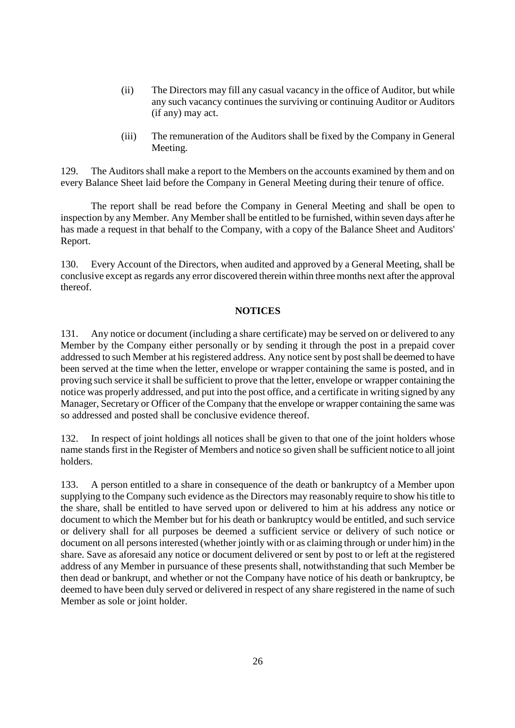- (ii) The Directors may fill any casual vacancy in the office of Auditor, but while any such vacancy continues the surviving or continuing Auditor or Auditors (if any) may act.
- (iii) The remuneration of the Auditors shall be fixed by the Company in General Meeting.

129. The Auditors shall make a report to the Members on the accounts examined by them and on every Balance Sheet laid before the Company in General Meeting during their tenure of office.

The report shall be read before the Company in General Meeting and shall be open to inspection by any Member. Any Member shall be entitled to be furnished, within seven days after he has made a request in that behalf to the Company, with a copy of the Balance Sheet and Auditors' Report.

130. Every Account of the Directors, when audited and approved by a General Meeting, shall be conclusive except as regards any error discovered therein within three months next after the approval thereof.

#### **NOTICES**

131. Any notice or document (including a share certificate) may be served on or delivered to any Member by the Company either personally or by sending it through the post in a prepaid cover addressed to such Member at his registered address. Any notice sent by post shall be deemed to have been served at the time when the letter, envelope or wrapper containing the same is posted, and in proving such service it shall be sufficient to prove that the letter, envelope or wrapper containing the notice was properly addressed, and put into the post office, and a certificate in writing signed by any Manager, Secretary or Officer of the Company that the envelope or wrapper containing the same was so addressed and posted shall be conclusive evidence thereof.

132. In respect of joint holdings all notices shall be given to that one of the joint holders whose name stands first in the Register of Members and notice so given shall be sufficient notice to all joint holders.

133. A person entitled to a share in consequence of the death or bankruptcy of a Member upon supplying to the Company such evidence as the Directors may reasonably require to show his title to the share, shall be entitled to have served upon or delivered to him at his address any notice or document to which the Member but for his death or bankruptcy would be entitled, and such service or delivery shall for all purposes be deemed a sufficient service or delivery of such notice or document on all persons interested (whether jointly with or as claiming through or under him) in the share. Save as aforesaid any notice or document delivered or sent by post to or left at the registered address of any Member in pursuance of these presents shall, notwithstanding that such Member be then dead or bankrupt, and whether or not the Company have notice of his death or bankruptcy, be deemed to have been duly served or delivered in respect of any share registered in the name of such Member as sole or joint holder.